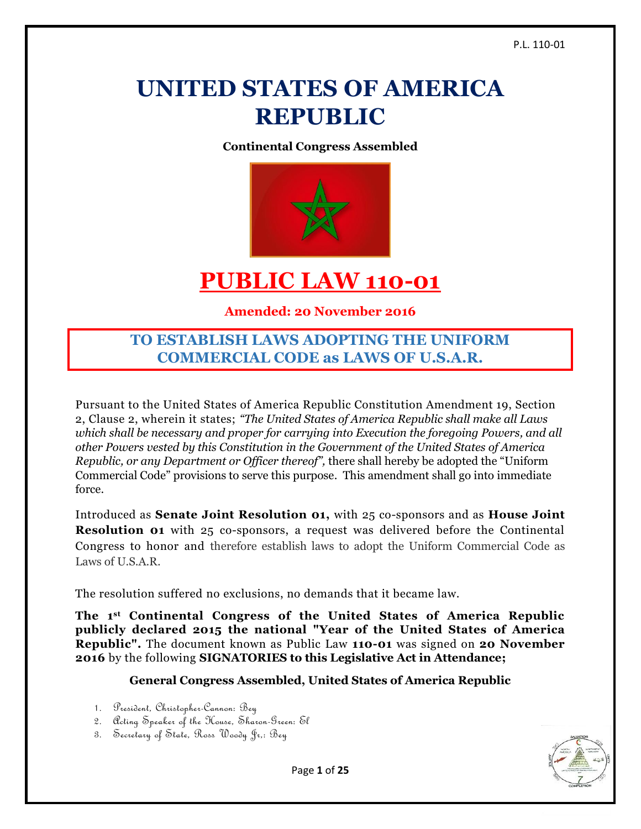# **UNITED STATES OF AMERICA REPUBLIC**

**Continental Congress Assembled**



# **PUBLIC LAW 110-01**

# **Amended: 20 November 2016**

# **TO ESTABLISH LAWS ADOPTING THE UNIFORM COMMERCIAL CODE as LAWS OF U.S.A.R.**

Pursuant to the United States of America Republic Constitution Amendment 19, Section 2, Clause 2, wherein it states; *"The United States of America Republic shall make all Laws which shall be necessary and proper for carrying into Execution the foregoing Powers, and all other Powers vested by this Constitution in the Government of the United States of America Republic, or any Department or Officer thereof",* there shall hereby be adopted the "Uniform Commercial Code" provisions to serve this purpose. This amendment shall go into immediate force.

Introduced as **Senate Joint Resolution 01,** with 25 co-sponsors and as **House Joint Resolution 01** with 25 co-sponsors, a request was delivered before the Continental Congress to honor and therefore establish laws to adopt the Uniform Commercial Code as Laws of U.S.A.R.

The resolution suffered no exclusions, no demands that it became law.

**The 1st Continental Congress of the United States of America Republic publicly declared 2015 the national "Year of the United States of America Republic".** The document known as Public Law **110-01** was signed on **20 November 2016** by the following **SIGNATORIES to this Legislative Act in Attendance;**

# **General Congress Assembled, United States of America Republic**

- 1. President, Christopher-Cannon: Bey
- 2. Acting Speaker of the House, Sharon-Green: El
- 3. Secretary of State, Ross Woody Jr,: Bey

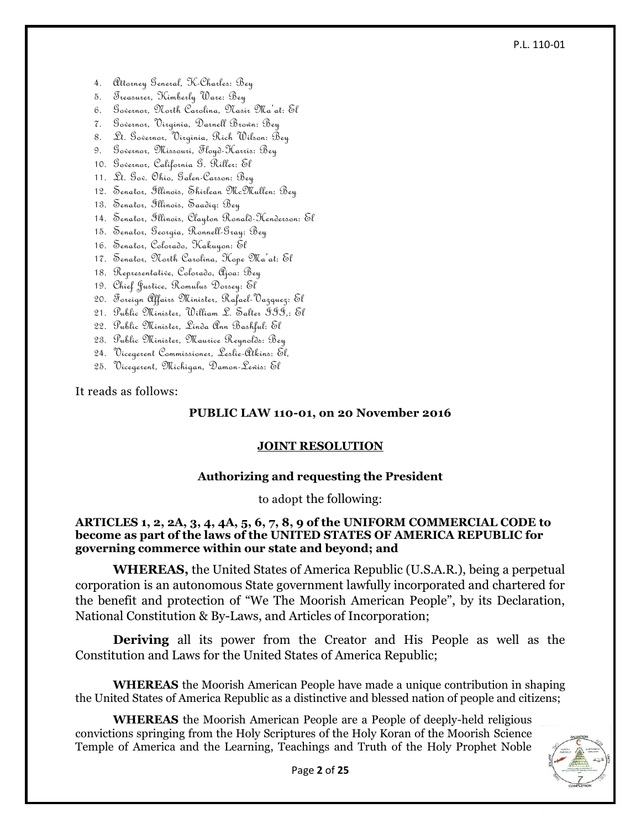#### P.L. 110-01

- 4. Attorney General, K-Charles: Bey
- 5. Treasurer, Kimberly Ware: Bey
- 6. Governor, North Carolina, Nasir Ma'at: El
- 7. Governor, Virginia, Darnell Brown: Bey
- 8. Lt. Governor, Virginia, Rich Wilson: Bey
- 9. Governor, Missouri, Floyd-Harris: Bey
- 10. Governor, California G. Riller: El
- 11. Lt. Gov. Ohio, Galen-Carson: Bey
- 12. Senator, Illinois, Shirlean McMullen: Bey
- 13. Senator, Illinois, Saadiq: Bey
- 14. Senator, Illinois, Clayton Ronald-Henderson: El
- 15. Senator, Georgia, Ronnell-Gray: Bey
- 16. Senator, Colorado, Kakuyon: El
- 17. Senator, North Carolina, Hope Ma'at: El
- 18. Representative, Colorado, Ajoa: Bey
- 19. Chief Justice, Romulus Dorsey: El
- 20. Foreign Affairs Minister, Rafael-Vazquez: El
- 21. Public Minister, William L. Salter III,: El
- 22. Public Minister, Linda Ann Bashful: El
- 23. Public Minister, Maurice Reynolds: Bey
- 24. Vicegerent Commissioner, Leslie-Atkins: El,
- 25. Vicegerent, Michigan, Damon-Lewis: El

It reads as follows:

#### **PUBLIC LAW 110-01, on 20 November 2016**

#### **JOINT RESOLUTION**

#### **Authorizing and requesting the President**

to adopt the following:

#### **ARTICLES 1, 2, 2A, 3, 4, 4A, 5, 6, 7, 8, 9 of the UNIFORM COMMERCIAL CODE to become as part of the laws of the UNITED STATES OF AMERICA REPUBLIC for governing commerce within our state and beyond; and**

**WHEREAS,** the United States of America Republic (U.S.A.R.), being a perpetual corporation is an autonomous State government lawfully incorporated and chartered for the benefit and protection of "We The Moorish American People", by its Declaration, National Constitution & By-Laws, and Articles of Incorporation;

**Deriving** all its power from the Creator and His People as well as the Constitution and Laws for the United States of America Republic;

**WHEREAS** the Moorish American People have made a unique contribution in shaping the United States of America Republic as a distinctive and blessed nation of people and citizens;

**WHEREAS** the Moorish American People are a People of deeply-held religious convictions springing from the Holy Scriptures of the Holy Koran of the Moorish Science Temple of America and the Learning, Teachings and Truth of the Holy Prophet Noble

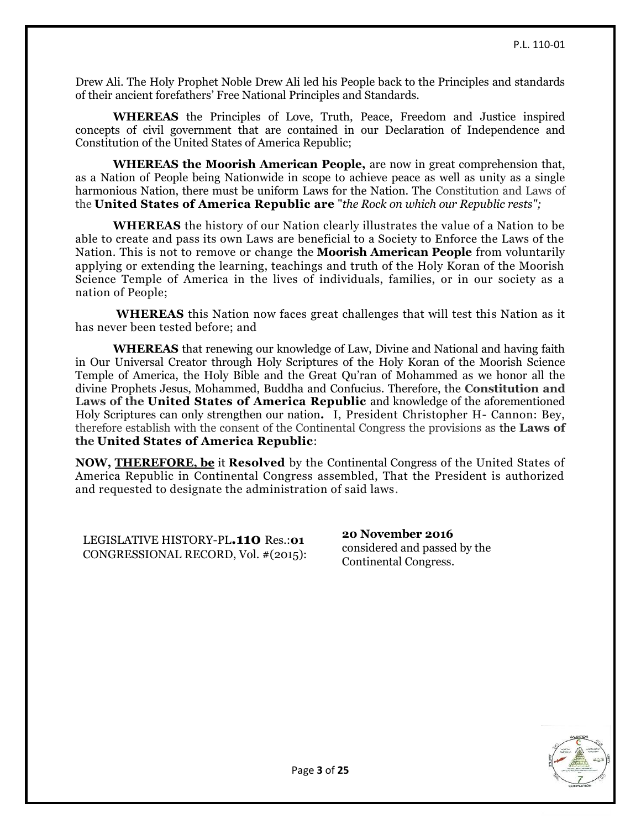Drew Ali. The Holy Prophet Noble Drew Ali led his People back to the Principles and standards of their ancient forefathers' Free National Principles and Standards.

**WHEREAS** the Principles of Love, Truth, Peace, Freedom and Justice inspired concepts of civil government that are contained in our Declaration of Independence and Constitution of the United States of America Republic;

**WHEREAS the Moorish American People,** are now in great comprehension that, as a Nation of People being Nationwide in scope to achieve peace as well as unity as a single harmonious Nation, there must be uniform Laws for the Nation. The Constitution and Laws of the **United States of America Republic are** "*the Rock on which our Republic rests";*

**WHEREAS** the history of our Nation clearly illustrates the value of a Nation to be able to create and pass its own Laws are beneficial to a Society to Enforce the Laws of the Nation. This is not to remove or change the **Moorish American People** from voluntarily applying or extending the learning, teachings and truth of the Holy Koran of the Moorish Science Temple of America in the lives of individuals, families, or in our society as a nation of People;

**WHEREAS** this Nation now faces great challenges that will test this Nation as it has never been tested before; and

**WHEREAS** that renewing our knowledge of Law, Divine and National and having faith in Our Universal Creator through Holy Scriptures of the Holy Koran of the Moorish Science Temple of America, the Holy Bible and the Great Qu'ran of Mohammed as we honor all the divine Prophets Jesus, Mohammed, Buddha and Confucius. Therefore, the **Constitution and Laws of the United States of America Republic** and knowledge of the aforementioned Holy Scriptures can only strengthen our nation**.** I, President Christopher H- Cannon: Bey, therefore establish with the consent of the Continental Congress the provisions as the **Laws of the United States of America Republic**:

**NOW, [THEREFORE, be](http://therefore.be/)** it **Resolved** by the Continental Congress of the United States of America Republic in Continental Congress assembled, That the President is authorized and requested to designate the administration of said laws.

LEGISLATIVE HISTORY-PL**.110** Res.:**01** CONGRESSIONAL RECORD, Vol. #(2015): **20 November 2016** considered and passed by the Continental Congress.

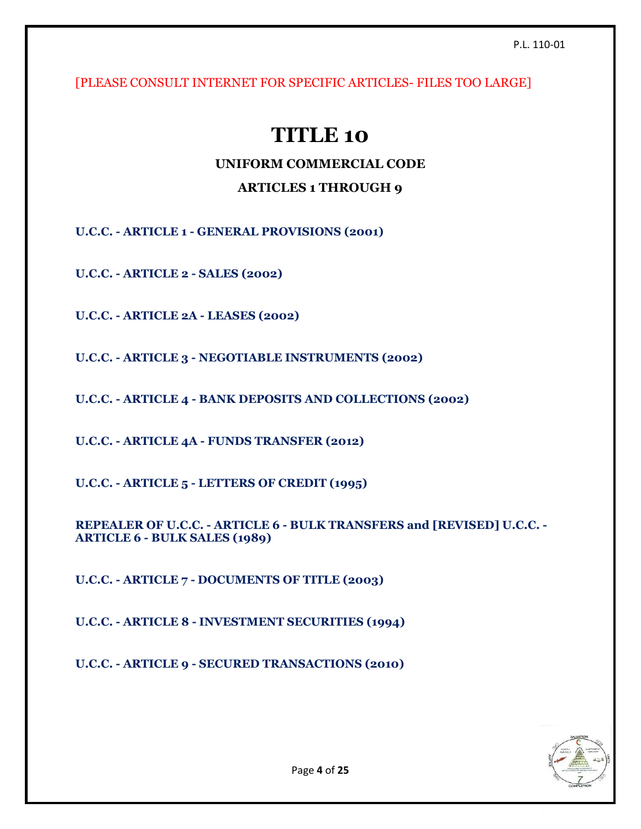[PLEASE CONSULT INTERNET FOR SPECIFIC ARTICLES- FILES TOO LARGE]

# **TITLE 10**

# **UNIFORM COMMERCIAL CODE**

# **ARTICLES 1 THROUGH 9**

**U.C.C. - ARTICLE 1 - GENERAL PROVISIONS (2001)**

**U.C.C. - ARTICLE 2 - SALES (2002)**

**U.C.C. - ARTICLE 2A - LEASES (2002)**

**U.C.C. - ARTICLE 3 - NEGOTIABLE INSTRUMENTS (2002)**

**U.C.C. - ARTICLE 4 - BANK DEPOSITS AND COLLECTIONS (2002)**

**U.C.C. - ARTICLE 4A - FUNDS TRANSFER (2012)**

**U.C.C. - ARTICLE 5 - LETTERS OF CREDIT (1995)**

**REPEALER OF U.C.C. - ARTICLE 6 - BULK TRANSFERS and [REVISED] U.C.C. - ARTICLE 6 - BULK SALES (1989)**

**U.C.C. - ARTICLE 7 - DOCUMENTS OF TITLE (2003)**

**U.C.C. - ARTICLE 8 - INVESTMENT SECURITIES (1994)**

**U.C.C. - ARTICLE 9 - SECURED TRANSACTIONS (2010)**

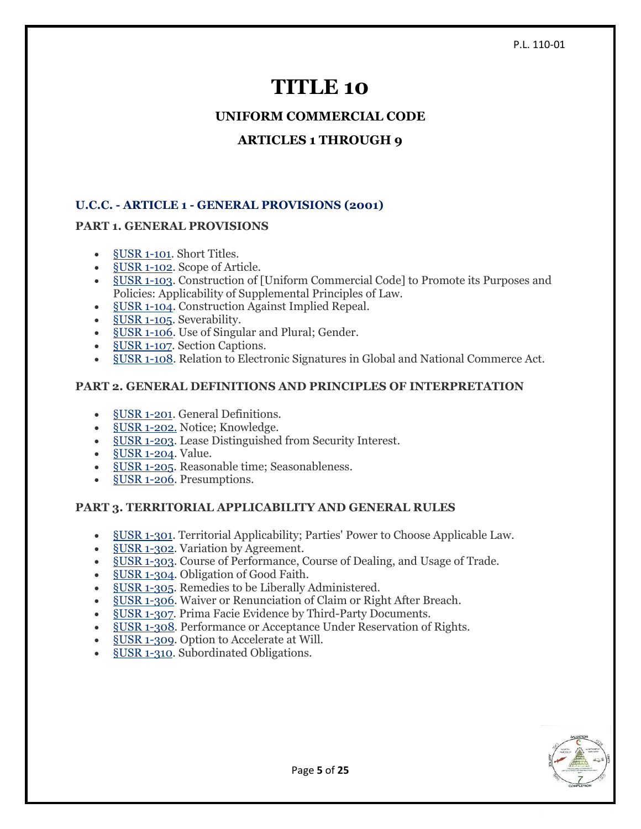# **TITLE 10**

**UNIFORM COMMERCIAL CODE**

# **ARTICLES 1 THROUGH 9**

# **U.C.C. - ARTICLE 1 - GENERAL PROVISIONS (2001)**

# **PART 1. GENERAL PROVISIONS**

- [§USR](https://www.law.cornell.edu/ucc/1/1-101) 1-101. Short Titles.
- <u>§USR 1-102</u>. Scope of Article.
- §USR [1-103.](https://www.law.cornell.edu/ucc/1/1-103) Construction of [Uniform Commercial Code] to Promote its Purposes and Policies: Applicability of Supplemental Principles of Law.
- §USR [1-104.](https://www.law.cornell.edu/ucc/1/1-104) Construction Against Implied Repeal.
- §USR [1-105.](https://www.law.cornell.edu/ucc/1/1-105) Severability.
- §USR [1-106.](https://www.law.cornell.edu/ucc/1/1-106) Use of Singular and Plural; Gender.
- [§USR](https://www.law.cornell.edu/ucc/1/1-107) 1-107. Section Captions.
- §USR [1-108.](https://www.law.cornell.edu/ucc/1/1-108) Relation to Electronic Signatures in Global and National Commerce Act.

## **PART 2. GENERAL DEFINITIONS AND PRINCIPLES OF INTERPRETATION**

- §USR [1-201.](https://www.law.cornell.edu/ucc/1/1-201) General Definitions.
- §USR [1-202.](https://www.law.cornell.edu/ucc/1/1-202) Notice; Knowledge.
- §USR [1-203.](https://www.law.cornell.edu/ucc/1/1-203) Lease Distinguished from Security Interest.
- §USR [1-204.](https://www.law.cornell.edu/ucc/1/1-204) Value.
- §USR [1-205.](https://www.law.cornell.edu/ucc/1/1-205) Reasonable time; Seasonableness.
- §USR [1-206.](https://www.law.cornell.edu/ucc/1/1-206) Presumptions.

# **PART 3. TERRITORIAL APPLICABILITY AND GENERAL RULES**

- §USR [1-301.](https://www.law.cornell.edu/ucc/1/1-301) Territorial Applicability; Parties' Power to Choose Applicable Law.
- §USR [1-302.](https://www.law.cornell.edu/ucc/1/1-302) Variation by Agreement.
- §USR [1-303.](https://www.law.cornell.edu/ucc/1/1-303) Course of Performance, Course of Dealing, and Usage of Trade.
- §USR [1-304.](https://www.law.cornell.edu/ucc/1/1-304) Obligation of Good Faith.
- §USR [1-305.](https://www.law.cornell.edu/ucc/1/1-305) Remedies to be Liberally Administered.
- §USR [1-306.](https://www.law.cornell.edu/ucc/1/1-306) Waiver or Renunciation of Claim or Right After Breach.
- §USR [1-307.](https://www.law.cornell.edu/ucc/1/1-307) Prima Facie Evidence by Third-Party Documents.
- §USR [1-308.](https://www.law.cornell.edu/ucc/1/1-308) Performance or Acceptance Under Reservation of Rights.
- §USR [1-309.](https://www.law.cornell.edu/ucc/1/1-309) Option to Accelerate at Will.
- §USR [1-310.](https://www.law.cornell.edu/ucc/1/1-310) Subordinated Obligations.



Page **5** of **25**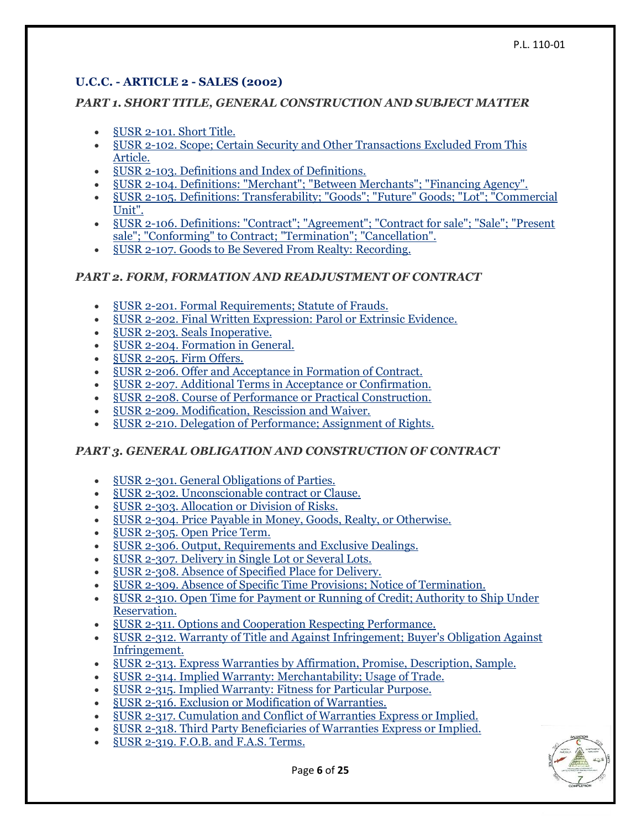# **U.C.C. - ARTICLE 2 - SALES (2002)**

## *PART 1. SHORT TITLE, GENERAL CONSTRUCTION AND SUBJECT MATTER*

- §USR [2-101. Short Title.](https://www.law.cornell.edu/ucc/2/2-101)
- §USR [2-102. Scope; Certain Security and Other Transactions Excluded From This](https://www.law.cornell.edu/ucc/2/2-102)  [Article.](https://www.law.cornell.edu/ucc/2/2-102)
- §USR [2-103. Definitions and Index of Definitions.](https://www.law.cornell.edu/ucc/2/2-103)
- §USR [2-104. Definitions: "Merchant"; "Between Merchants"; "Financing Agency".](https://www.law.cornell.edu/ucc/2/2-104)
- §USR [2-105. Definitions: Transferability; "Goods"; "Future" Goods; "Lot"; "Commercial](https://www.law.cornell.edu/ucc/2/2-105)  [Unit".](https://www.law.cornell.edu/ucc/2/2-105)
- §USR [2-106. Definitions: "Contract"; "Agreement"; "Contract for sale"; "Sale"; "Present](https://www.law.cornell.edu/ucc/2/2-106)  [sale"; "Conforming" to Contract; "Termination"; "Cancellation".](https://www.law.cornell.edu/ucc/2/2-106)
- §USR [2-107. Goods to Be Severed From Realty: Recording.](https://www.law.cornell.edu/ucc/2/2-107)

## *PART 2. FORM, FORMATION AND READJUSTMENT OF CONTRACT*

- §USR [2-201. Formal Requirements; Statute of Frauds.](https://www.law.cornell.edu/ucc/2/2-201)
- §USR [2-202. Final Written Expression: Parol or Extrinsic Evidence.](https://www.law.cornell.edu/ucc/2/2-202)
- §USR [2-203. Seals Inoperative.](https://www.law.cornell.edu/ucc/2/2-203)
- §USR [2-204. Formation in General.](https://www.law.cornell.edu/ucc/2/2-204)
- §USR [2-205. Firm Offers.](https://www.law.cornell.edu/ucc/2/2-205)
- §USR [2-206. Offer and Acceptance in Formation of Contract.](https://www.law.cornell.edu/ucc/2/2-206)
- §USR [2-207. Additional Terms in Acceptance or Confirmation.](https://www.law.cornell.edu/ucc/2/2-207)
- §USR [2-208. Course of Performance or Practical Construction.](https://www.law.cornell.edu/ucc/2/2-208)
- §USR [2-209. Modification, Rescission and Waiver.](https://www.law.cornell.edu/ucc/2/2-209)
- §USR [2-210. Delegation of Performance; Assignment of Rights.](https://www.law.cornell.edu/ucc/2/2-210)

# *PART 3. GENERAL OBLIGATION AND CONSTRUCTION OF CONTRACT*

- §USR [2-301. General Obligations of Parties.](https://www.law.cornell.edu/ucc/2/2-301)
- §USR [2-302. Unconscionable contract or Clause.](https://www.law.cornell.edu/ucc/2/2-302)
- §USR [2-303. Allocation or Division of Risks.](https://www.law.cornell.edu/ucc/2/2-303)
- §USR [2-304. Price Payable in Money, Goods, Realty, or Otherwise.](https://www.law.cornell.edu/ucc/2/2-304)
- §USR [2-305. Open Price Term.](https://www.law.cornell.edu/ucc/2/2-305)
- §USR [2-306. Output, Requirements and Exclusive Dealings.](https://www.law.cornell.edu/ucc/2/2-306)
- §USR [2-307. Delivery in Single Lot or Several Lots.](https://www.law.cornell.edu/ucc/2/2-307)
- §USR [2-308. Absence of Specified Place for Delivery.](https://www.law.cornell.edu/ucc/2/2-308)
- §USR [2-309. Absence of Specific Time Provisions; Notice of Termination.](https://www.law.cornell.edu/ucc/2/2-309)
- §USR [2-310. Open Time for Payment or Running of Credit; Authority to Ship Under](https://www.law.cornell.edu/ucc/2/2-310)  [Reservation.](https://www.law.cornell.edu/ucc/2/2-310)
- §USR [2-311. Options and Cooperation Respecting Performance.](https://www.law.cornell.edu/ucc/2/2-311)
- §USR [2-312. Warranty of Title and Against Infringement; Buyer's Obligation Against](https://www.law.cornell.edu/ucc/2/2-312)  [Infringement.](https://www.law.cornell.edu/ucc/2/2-312)
- §USR [2-313. Express Warranties by Affirmation, Promise, Description, Sample.](https://www.law.cornell.edu/ucc/2/2-313)
- §USR [2-314. Implied Warranty: Merchantability; Usage of Trade.](https://www.law.cornell.edu/ucc/2/2-314)
- §USR [2-315. Implied Warranty: Fitness for Particular Purpose.](https://www.law.cornell.edu/ucc/2/2-315)
- §USR [2-316. Exclusion or Modification of Warranties.](https://www.law.cornell.edu/ucc/2/2-316)
- §USR [2-317. Cumulation and Conflict of Warranties Express or Implied.](https://www.law.cornell.edu/ucc/2/2-317)
- §USR [2-318. Third Party Beneficiaries of Warranties Express or Implied.](https://www.law.cornell.edu/ucc/2/2-318)
- §USR [2-319. F.O.B. and F.A.S. Terms.](https://www.law.cornell.edu/ucc/2/2-319)

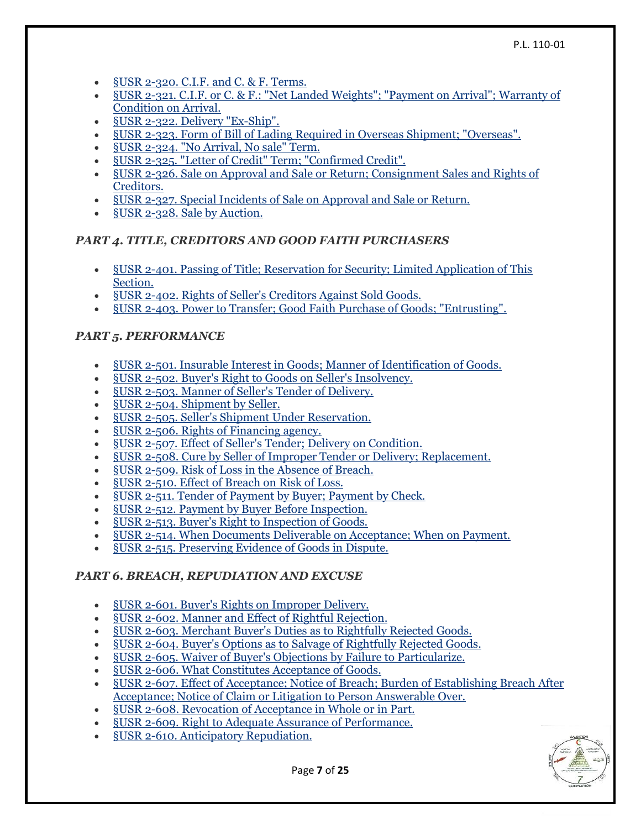- §USR [2-320. C.I.F. and C. & F. Terms.](https://www.law.cornell.edu/ucc/2/2-320)
- §USR [2-321. C.I.F. or C. & F.: "Net Landed Weights"; "Payment on Arrival"; Warranty of](https://www.law.cornell.edu/ucc/2/2-321)  [Condition on Arrival.](https://www.law.cornell.edu/ucc/2/2-321)
- §USR [2-322. Delivery "Ex-Ship".](https://www.law.cornell.edu/ucc/2/2-322)
- §USR [2-323. Form of Bill of Lading Required in Overseas Shipment; "Overseas".](https://www.law.cornell.edu/ucc/2/2-323)
- §USR [2-324. "No Arrival, No sale" Term.](https://www.law.cornell.edu/ucc/2/2-324)
- §USR [2-325. "Letter of Credit" Term; "Confirmed Credit".](https://www.law.cornell.edu/ucc/2/2-325)
- §USR [2-326. Sale on Approval and Sale or Return; Consignment](https://www.law.cornell.edu/ucc/2/2-326) Sales and Rights of [Creditors.](https://www.law.cornell.edu/ucc/2/2-326)
- §USR [2-327. Special Incidents of Sale on Approval and Sale or Return.](https://www.law.cornell.edu/ucc/2/2-327)
- §USR [2-328. Sale by Auction.](https://www.law.cornell.edu/ucc/2/2-328)

## *PART 4. TITLE, CREDITORS AND GOOD FAITH PURCHASERS*

- §USR [2-401. Passing of Title; Reservation for Security; Limited Application of This](https://www.law.cornell.edu/ucc/2/2-401)  [Section.](https://www.law.cornell.edu/ucc/2/2-401)
- §USR [2-402. Rights of Seller's Creditors Against Sold Goods.](https://www.law.cornell.edu/ucc/2/2-402)
- §USR [2-403. Power to Transfer; Good Faith Purchase of Goods; "Entrusting".](https://www.law.cornell.edu/ucc/2/2-403)

# *PART 5. PERFORMANCE*

- §USR [2-501. Insurable Interest in Goods; Manner of Identification of Goods.](https://www.law.cornell.edu/ucc/2/2-501)
- §USR [2-502. Buyer's Right to Goods on Seller's Insolvency.](https://www.law.cornell.edu/ucc/2/2-502)
- §USR [2-503. Manner of Seller's Tender of Delivery.](https://www.law.cornell.edu/ucc/2/2-503)
- §USR [2-504. Shipment by Seller.](https://www.law.cornell.edu/ucc/2/2-504)
- §USR [2-505. Seller's Shipment Under Reservation.](https://www.law.cornell.edu/ucc/2/2-505)
- §USR [2-506. Rights of Financing agency.](https://www.law.cornell.edu/ucc/2/2-506)
- §USR [2-507. Effect of Seller's Tender; Delivery on Condition.](https://www.law.cornell.edu/ucc/2/2-507)
- §USR [2-508. Cure by Seller of Improper Tender or Delivery; Replacement.](https://www.law.cornell.edu/ucc/2/2-508)
- §USR [2-509. Risk of Loss in the Absence of Breach.](https://www.law.cornell.edu/ucc/2/2-509)
- §USR [2-510. Effect of Breach on Risk of Loss.](https://www.law.cornell.edu/ucc/2/2-510)
- §USR [2-511. Tender of Payment by Buyer; Payment by Check.](https://www.law.cornell.edu/ucc/2/2-511)
- §USR [2-512. Payment by Buyer Before Inspection.](https://www.law.cornell.edu/ucc/2/2-512)
- §USR [2-513. Buyer's Right to Inspection of Goods.](https://www.law.cornell.edu/ucc/2/2-513)
- §USR [2-514. When Documents Deliverable on Acceptance; When on Payment.](https://www.law.cornell.edu/ucc/2/2-514)
- §USR [2-515. Preserving Evidence of Goods in Dispute.](https://www.law.cornell.edu/ucc/2/2-515)

# *PART 6. BREACH, REPUDIATION AND EXCUSE*

- §USR [2-601. Buyer's Rights on Improper Delivery.](https://www.law.cornell.edu/ucc/2/2-601)
- §USR [2-602. Manner and Effect of Rightful Rejection.](https://www.law.cornell.edu/ucc/2/2-602)
- §USR [2-603. Merchant Buyer's Duties as to Rightfully Rejected Goods.](https://www.law.cornell.edu/ucc/2/2-603)
- §USR [2-604. Buyer's Options as to Salvage of Rightfully Rejected Goods.](https://www.law.cornell.edu/ucc/2/2-604)
- §USR [2-605. Waiver of Buyer's Objections by Failure to Particularize.](https://www.law.cornell.edu/ucc/2/2-605)
- §USR [2-606. What Constitutes Acceptance of Goods.](https://www.law.cornell.edu/ucc/2/2-606)
- §USR [2-607. Effect of Acceptance; Notice of Breach; Burden of Establishing Breach After](https://www.law.cornell.edu/ucc/2/2-607)  Acceptance; [Notice of Claim or Litigation to Person Answerable Over.](https://www.law.cornell.edu/ucc/2/2-607)
- §USR [2-608. Revocation of Acceptance in Whole or in Part.](https://www.law.cornell.edu/ucc/2/2-608)
- §USR [2-609. Right to Adequate Assurance of Performance.](https://www.law.cornell.edu/ucc/2/2-609)
- §USR [2-610. Anticipatory Repudiation.](https://www.law.cornell.edu/ucc/2/2-610)

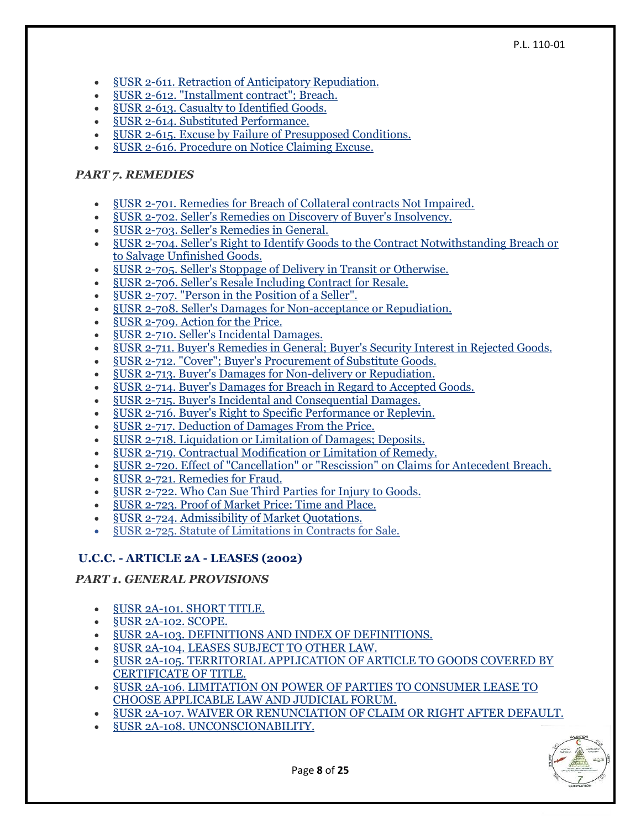#### P.L. 110-01

- §USR [2-611. Retraction of Anticipatory Repudiation.](https://www.law.cornell.edu/ucc/2/2-611)
- §USR [2-612. "Installment contract"; Breach.](https://www.law.cornell.edu/ucc/2/2-612)
- §USR [2-613. Casualty to Identified Goods.](https://www.law.cornell.edu/ucc/2/2-613)
- §USR [2-614. Substituted Performance.](https://www.law.cornell.edu/ucc/2/2-614)
- §USR [2-615. Excuse by Failure of Presupposed Conditions.](https://www.law.cornell.edu/ucc/2/2-615)
- §USR [2-616. Procedure on Notice Claiming Excuse.](https://www.law.cornell.edu/ucc/2/2-616)

## *PART 7. REMEDIES*

- §USR [2-701. Remedies for Breach of Collateral contracts Not Impaired.](https://www.law.cornell.edu/ucc/2/2-701)
- §USR [2-702. Seller's Remedies on Discovery of Buyer's Insolvency.](https://www.law.cornell.edu/ucc/2/2-702)
- §USR [2-703. Seller's Remedies in General.](https://www.law.cornell.edu/ucc/2/2-703)
- §USR [2-704. Seller's Right to Identify Goods to the Contract Notwithstanding Breach or](https://www.law.cornell.edu/ucc/2/2-704)  [to Salvage Unfinished Goods.](https://www.law.cornell.edu/ucc/2/2-704)
- §USR [2-705. Seller's Stoppage of Delivery in Transit or Otherwise.](https://www.law.cornell.edu/ucc/2/2-705)
- §USR [2-706. Seller's Resale Including Contract for Resale.](https://www.law.cornell.edu/ucc/2/2-706)
- §USR [2-707. "Person in the Position of a Seller".](https://www.law.cornell.edu/ucc/2/2-707)
- §USR [2-708. Seller's Damages for Non-acceptance or Repudiation.](https://www.law.cornell.edu/ucc/2/2-708)
- §USR [2-709. Action for the Price.](https://www.law.cornell.edu/ucc/2/2-709)
- §USR [2-710. Seller's Incidental Damages.](https://www.law.cornell.edu/ucc/2/2-710)
- §USR [2-711. Buyer's Remedies in General; Buyer's Security Interest in Rejected Goods.](https://www.law.cornell.edu/ucc/2/2-711)
- §USR [2-712. "Cover"; Buyer's Procurement of Substitute Goods.](https://www.law.cornell.edu/ucc/2/2-712)
- §USR [2-713. Buyer's Damages for Non-delivery or Repudiation.](https://www.law.cornell.edu/ucc/2/2-713)
- §USR [2-714. Buyer's Damages for Breach in Regard to Accepted Goods.](https://www.law.cornell.edu/ucc/2/2-714)
- §USR [2-715. Buyer's Incidental and Consequential Damages.](https://www.law.cornell.edu/ucc/2/2-715)
- §USR [2-716. Buyer's Right to Specific Performance or Replevin.](https://www.law.cornell.edu/ucc/2/2-716)
- §USR [2-717. Deduction of Damages From the Price.](https://www.law.cornell.edu/ucc/2/2-717)
- §USR [2-718. Liquidation or Limitation of Damages; Deposits.](https://www.law.cornell.edu/ucc/2/2-718)
- §USR [2-719. Contractual Modification or Limitation of Remedy.](https://www.law.cornell.edu/ucc/2/2-719)
- §USR [2-720. Effect of "Cancellation" or "Rescission" on Claims for Antecedent Breach.](https://www.law.cornell.edu/ucc/2/2-720)
- §USR [2-721. Remedies for Fraud.](https://www.law.cornell.edu/ucc/2/2-721)
- §USR [2-722. Who Can Sue Third Parties for](https://www.law.cornell.edu/ucc/2/2-722) Injury to Goods.
- §USR [2-723. Proof of Market Price: Time and Place.](https://www.law.cornell.edu/ucc/2/2-723)
- §USR [2-724. Admissibility of Market Quotations.](https://www.law.cornell.edu/ucc/2/2-724)
- §USR [2-725. Statute of Limitations in Contracts for Sale.](https://www.law.cornell.edu/ucc/2/2-725)

# **U.C.C. - ARTICLE 2A - LEASES (2002)**

# *PART 1. GENERAL PROVISIONS*

- §USR [2A-101. SHORT TITLE.](https://www.law.cornell.edu/ucc/2A/2A-101)
- §USR [2A-102. SCOPE.](https://www.law.cornell.edu/ucc/2A/2A-102)
- §USR [2A-103. DEFINITIONS AND INDEX OF DEFINITIONS.](https://www.law.cornell.edu/ucc/2A/2A-103)
- §USR [2A-104. LEASES SUBJECT TO OTHER LAW.](https://www.law.cornell.edu/ucc/2A/2A-104)
- §USR [2A-105. TERRITORIAL APPLICATION OF ARTICLE TO GOODS COVERED BY](https://www.law.cornell.edu/ucc/2A/2A-105)  [CERTIFICATE OF TITLE.](https://www.law.cornell.edu/ucc/2A/2A-105)
- §USR [2A-106. LIMITATION ON POWER OF PARTIES TO CONSUMER LEASE TO](https://www.law.cornell.edu/ucc/2A/2A-106)  [CHOOSE APPLICABLE LAW AND JUDICIAL FORUM.](https://www.law.cornell.edu/ucc/2A/2A-106)
- §USR [2A-107. WAIVER OR RENUNCIATION OF CLAIM OR RIGHT AFTER DEFAULT.](https://www.law.cornell.edu/ucc/2A/2A-107)
- §USR [2A-108. UNCONSCIONABILITY.](https://www.law.cornell.edu/ucc/2A/2A-108)

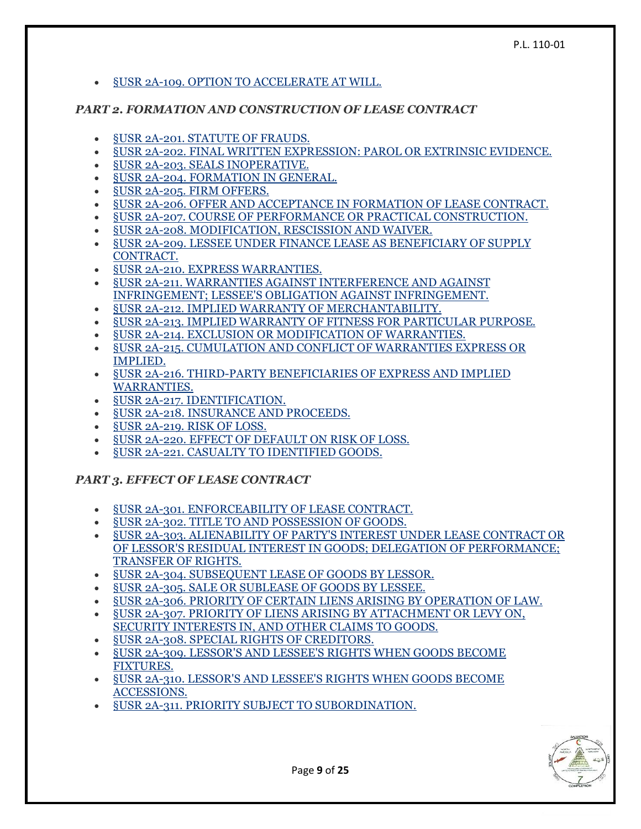#### §USR [2A-109. OPTION TO ACCELERATE AT WILL.](https://www.law.cornell.edu/ucc/2A/2A-109)

#### *PART 2. FORMATION AND CONSTRUCTION OF LEASE CONTRACT*

- §USR [2A-201. STATUTE OF FRAUDS.](https://www.law.cornell.edu/ucc/2A/2A-201)
- §USR [2A-202. FINAL WRITTEN EXPRESSION: PAROL OR EXTRINSIC EVIDENCE.](https://www.law.cornell.edu/ucc/2A/2A-202)
- §USR [2A-203. SEALS INOPERATIVE.](https://www.law.cornell.edu/ucc/2A/2A-203)
- §USR [2A-204. FORMATION IN GENERAL.](https://www.law.cornell.edu/ucc/2A/2A-204)
- §USR [2A-205. FIRM OFFERS.](https://www.law.cornell.edu/ucc/2A/2A-205)
- §USR [2A-206. OFFER AND ACCEPTANCE IN FORMATION OF LEASE CONTRACT.](https://www.law.cornell.edu/ucc/2A/2A-206)
- §USR [2A-207. COURSE OF PERFORMANCE OR PRACTICAL CONSTRUCTION.](https://www.law.cornell.edu/ucc/2A/2A-207)
- §USR 2A-208. [MODIFICATION, RESCISSION AND WAIVER.](https://www.law.cornell.edu/ucc/2A/2A-208)
- §USR [2A-209. LESSEE UNDER FINANCE LEASE AS BENEFICIARY OF SUPPLY](https://www.law.cornell.edu/ucc/2A/2A-209)  [CONTRACT.](https://www.law.cornell.edu/ucc/2A/2A-209)
- §USR [2A-210. EXPRESS WARRANTIES.](https://www.law.cornell.edu/ucc/2A/2A-210)
- §USR [2A-211. WARRANTIES AGAINST INTERFERENCE AND AGAINST](https://www.law.cornell.edu/ucc/2A/2A-211)  [INFRINGEMENT; LESSEE'S OBLIGATION AGAINST INFRINGEMENT.](https://www.law.cornell.edu/ucc/2A/2A-211)
- §USR [2A-212. IMPLIED WARRANTY OF MERCHANTABILITY.](https://www.law.cornell.edu/ucc/2A/2A-212)
- §USR [2A-213. IMPLIED WARRANTY OF FITNESS FOR PARTICULAR PURPOSE.](https://www.law.cornell.edu/ucc/2A/2A-213)
- §USR [2A-214. EXCLUSION OR MODIFICATION OF WARRANTIES.](https://www.law.cornell.edu/ucc/2A/2A-214)
- §USR [2A-215. CUMULATION AND CONFLICT OF WARRANTIES EXPRESS OR](https://www.law.cornell.edu/ucc/2A/2A-215)  [IMPLIED.](https://www.law.cornell.edu/ucc/2A/2A-215)
- §USR [2A-216. THIRD-PARTY BENEFICIARIES OF EXPRESS AND IMPLIED](https://www.law.cornell.edu/ucc/2A/2A-216)  [WARRANTIES.](https://www.law.cornell.edu/ucc/2A/2A-216)
- **SUSR [2A-217. IDENTIFICATION.](https://www.law.cornell.edu/ucc/2A/2A-217)**
- §USR [2A-218. INSURANCE AND PROCEEDS.](https://www.law.cornell.edu/ucc/2A/2A-218)
- §USR [2A-219. RISK OF LOSS.](https://www.law.cornell.edu/ucc/2A/2A-219)
- §USR [2A-220. EFFECT OF DEFAULT ON RISK OF LOSS.](https://www.law.cornell.edu/ucc/2A/2A-220)
- §USR [2A-221. CASUALTY TO IDENTIFIED GOODS.](https://www.law.cornell.edu/ucc/2A/2A-221)

# *PART 3. EFFECT OF LEASE CONTRACT*

- §USR [2A-301. ENFORCEABILITY OF LEASE CONTRACT.](https://www.law.cornell.edu/ucc/2A/2A-301)
- §USR [2A-302. TITLE TO AND POSSESSION OF GOODS.](https://www.law.cornell.edu/ucc/2A/2A-302)
- §USR [2A-303. ALIENABILITY OF PARTY'S INTEREST UNDER LEASE CONTRACT OR](https://www.law.cornell.edu/ucc/2A/2A-303)  [OF LESSOR'S RESIDUAL INTEREST IN GOODS; DELEGATION OF PERFORMANCE;](https://www.law.cornell.edu/ucc/2A/2A-303)  [TRANSFER OF RIGHTS.](https://www.law.cornell.edu/ucc/2A/2A-303)
- §USR [2A-304. SUBSEQUENT LEASE OF GOODS BY LESSOR.](https://www.law.cornell.edu/ucc/2A/2A-304)
- §USR [2A-305. SALE OR SUBLEASE OF GOODS BY LESSEE.](https://www.law.cornell.edu/ucc/2A/2A-305)
- §USR [2A-306. PRIORITY OF CERTAIN LIENS ARISING BY OPERATION OF LAW.](https://www.law.cornell.edu/ucc/2A/2A-306)
- §USR [2A-307. PRIORITY OF LIENS ARISING BY ATTACHMENT OR LEVY ON,](https://www.law.cornell.edu/ucc/2A/2A-307)  [SECURITY INTERESTS IN, AND OTHER CLAIMS TO GOODS.](https://www.law.cornell.edu/ucc/2A/2A-307)
- §USR [2A-308. SPECIAL RIGHTS OF CREDITORS.](https://www.law.cornell.edu/ucc/2A/2A-308)
- §USR [2A-309. LESSOR'S AND LESSEE'S RIGHTS WHEN GOODS BECOME](https://www.law.cornell.edu/ucc/2A/2A-309)  [FIXTURES.](https://www.law.cornell.edu/ucc/2A/2A-309)
- §USR [2A-310. LESSOR'S AND LESSEE'S RIGHTS WHEN GOODS BECOME](https://www.law.cornell.edu/ucc/2A/2A-310)  [ACCESSIONS.](https://www.law.cornell.edu/ucc/2A/2A-310)
- §USR [2A-311. PRIORITY SUBJECT TO SUBORDINATION.](https://www.law.cornell.edu/ucc/2A/2A-311)

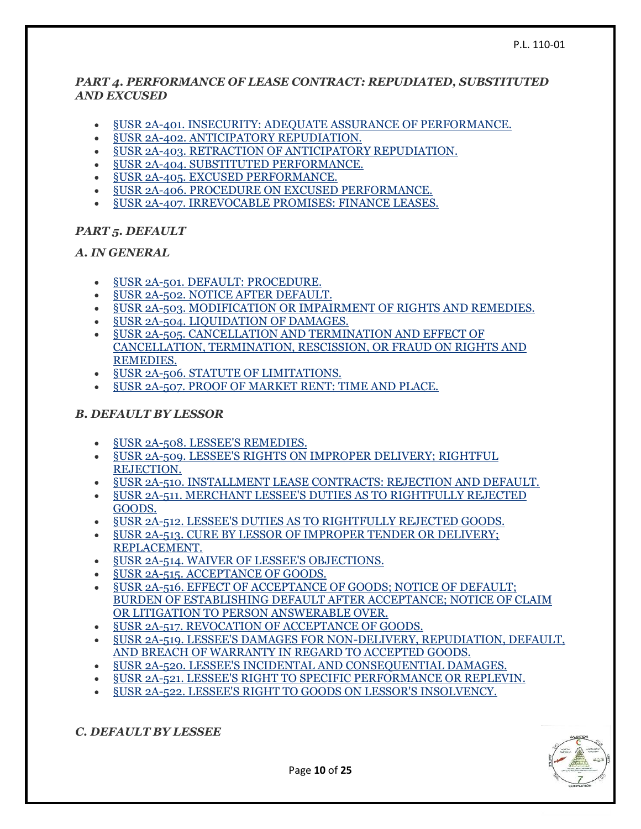#### *PART 4. PERFORMANCE OF LEASE CONTRACT: REPUDIATED, SUBSTITUTED AND EXCUSED*

- §USR [2A-401. INSECURITY: ADEQUATE ASSURANCE OF PERFORMANCE.](https://www.law.cornell.edu/ucc/2A/2A-401)
- §USR [2A-402. ANTICIPATORY REPUDIATION.](https://www.law.cornell.edu/ucc/2A/2A-402)
- §USR [2A-403. RETRACTION OF ANTICIPATORY REPUDIATION.](https://www.law.cornell.edu/ucc/2A/2A-403)
- §USR [2A-404. SUBSTITUTED PERFORMANCE.](https://www.law.cornell.edu/ucc/2A/2A-404)
- §USR [2A-405. EXCUSED PERFORMANCE.](https://www.law.cornell.edu/ucc/2A/2A-405)
- §USR [2A-406. PROCEDURE ON EXCUSED PERFORMANCE.](https://www.law.cornell.edu/ucc/2A/2A-406)
- §USR [2A-407. IRREVOCABLE PROMISES: FINANCE LEASES.](https://www.law.cornell.edu/ucc/2A/2A-407)

## *PART 5. DEFAULT*

#### *A. IN GENERAL*

- §USR [2A-501. DEFAULT: PROCEDURE.](https://www.law.cornell.edu/ucc/2A/2A-501)
- §USR [2A-502. NOTICE AFTER DEFAULT.](https://www.law.cornell.edu/ucc/2A/2A-502)
- §USR [2A-503. MODIFICATION OR IMPAIRMENT OF RIGHTS AND REMEDIES.](https://www.law.cornell.edu/ucc/2A/2A-503)
- §USR [2A-504. LIQUIDATION OF DAMAGES.](https://www.law.cornell.edu/ucc/2A/2A-504)
- §USR [2A-505. CANCELLATION AND TERMINATION AND EFFECT OF](https://www.law.cornell.edu/ucc/2A/2A-505)  [CANCELLATION, TERMINATION, RESCISSION, OR FRAUD ON RIGHTS AND](https://www.law.cornell.edu/ucc/2A/2A-505)  [REMEDIES.](https://www.law.cornell.edu/ucc/2A/2A-505)
- §USR [2A-506. STATUTE OF LIMITATIONS.](https://www.law.cornell.edu/ucc/2A/2A-506)
- §USR [2A-507. PROOF OF MARKET RENT: TIME AND PLACE.](https://www.law.cornell.edu/ucc/2A/2A-507)

## *B. DEFAULT BY LESSOR*

- §USR [2A-508. LESSEE'S REMEDIES.](https://www.law.cornell.edu/ucc/2A/2A-508)
- §USR [2A-509. LESSEE'S RIGHTS ON IMPROPER](https://www.law.cornell.edu/ucc/2A/2A-509) DELIVERY; RIGHTFUL [REJECTION.](https://www.law.cornell.edu/ucc/2A/2A-509)
- §USR [2A-510. INSTALLMENT LEASE CONTRACTS: REJECTION AND DEFAULT.](https://www.law.cornell.edu/ucc/2A/2A-510)
- §USR [2A-511. MERCHANT LESSEE'S DUTIES AS TO RIGHTFULLY REJECTED](https://www.law.cornell.edu/ucc/2A/2A-511)  [GOODS.](https://www.law.cornell.edu/ucc/2A/2A-511)
- §USR [2A-512. LESSEE'S DUTIES AS TO RIGHTFULLY REJECTED GOODS.](https://www.law.cornell.edu/ucc/2A/2A-512)
- §USR [2A-513. CURE BY LESSOR OF IMPROPER TENDER OR DELIVERY;](https://www.law.cornell.edu/ucc/2A/2A-513)  [REPLACEMENT.](https://www.law.cornell.edu/ucc/2A/2A-513)
- §USR [2A-514. WAIVER OF LESSEE'S OBJECTIONS.](https://www.law.cornell.edu/ucc/2A/2A-514)
- §USR [2A-515. ACCEPTANCE OF GOODS.](https://www.law.cornell.edu/ucc/2A/2A-515)
- §USR [2A-516. EFFECT OF ACCEPTANCE OF GOODS; NOTICE OF DEFAULT;](https://www.law.cornell.edu/ucc/2A/2A-516)  [BURDEN OF ESTABLISHING DEFAULT AFTER ACCEPTANCE; NOTICE OF CLAIM](https://www.law.cornell.edu/ucc/2A/2A-516)  [OR LITIGATION TO PERSON ANSWERABLE OVER.](https://www.law.cornell.edu/ucc/2A/2A-516)
- §USR [2A-517. REVOCATION OF ACCEPTANCE OF GOODS.](https://www.law.cornell.edu/ucc/2A/2A-517)
- §USR [2A-519. LESSEE'S DAMAGES FOR NON-DELIVERY, REPUDIATION, DEFAULT,](https://www.law.cornell.edu/ucc/2A/2A-519)  [AND BREACH OF WARRANTY IN REGARD TO ACCEPTED](https://www.law.cornell.edu/ucc/2A/2A-519) GOODS.
- §USR [2A-520. LESSEE'S INCIDENTAL AND CONSEQUENTIAL DAMAGES.](https://www.law.cornell.edu/ucc/2A/2A-520)
- §USR [2A-521. LESSEE'S RIGHT TO SPECIFIC PERFORMANCE OR REPLEVIN.](https://www.law.cornell.edu/ucc/2A/2A-521)
- §USR [2A-522. LESSEE'S RIGHT TO GOODS ON LESSOR'S INSOLVENCY.](https://www.law.cornell.edu/ucc/2A/2A-522)

*C. DEFAULT BY LESSEE*



Page **10** of **25**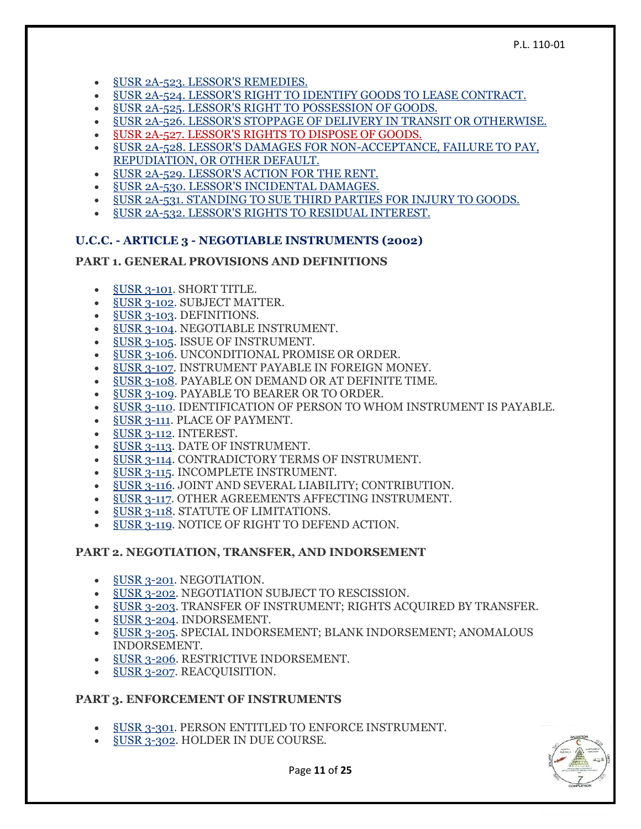- §USR [2A-523. LESSOR'S REMEDIES.](https://www.law.cornell.edu/ucc/2A/2A-523)
- §USR [2A-524. LESSOR'S RIGHT TO IDENTIFY GOODS TO LEASE CONTRACT.](https://www.law.cornell.edu/ucc/2A/2A-524)
- §USR [2A-525. LESSOR'S RIGHT TO POSSESSION OF GOODS.](https://www.law.cornell.edu/ucc/2A/2A-525)
- §USR [2A-526. LESSOR'S STOPPAGE OF DELIVERY IN TRANSIT OR OTHERWISE.](https://www.law.cornell.edu/ucc/2A/2A-526)
- §USR [2A-527. LESSOR'S RIGHTS TO DISPOSE OF GOODS.](https://www.law.cornell.edu/ucc/2A/2A-527)
- §USR [2A-528. LESSOR'S DAMAGES FOR NON-ACCEPTANCE, FAILURE TO PAY,](https://www.law.cornell.edu/ucc/2A/2A-528)  [REPUDIATION, OR OTHER DEFAULT.](https://www.law.cornell.edu/ucc/2A/2A-528)
- §USR [2A-529. LESSOR'S ACTION FOR THE RENT.](https://www.law.cornell.edu/ucc/2A/2A-529)
- §USR [2A-530. LESSOR'S INCIDENTAL DAMAGES.](https://www.law.cornell.edu/ucc/2A/2A-530)
- §USR [2A-531. STANDING TO SUE THIRD PARTIES FOR INJURY TO GOODS.](https://www.law.cornell.edu/ucc/2A/2A-531)
- §USR [2A-532. LESSOR'S RIGHTS TO RESIDUAL INTEREST.](https://www.law.cornell.edu/ucc/2A/2A-532)

#### **U.C.C. - ARTICLE 3 - NEGOTIABLE INSTRUMENTS (2002)**

#### **PART 1. GENERAL PROVISIONS AND DEFINITIONS**

- §USR [3-101.](https://www.law.cornell.edu/ucc/3/3-101) SHORT TITLE.
- §USR [3-102.](https://www.law.cornell.edu/ucc/3/3-102) SUBJECT MATTER.
- §USR [3-103.](https://www.law.cornell.edu/ucc/3/3-103) DEFINITIONS.
- §USR [3-104.](https://www.law.cornell.edu/ucc/3/3-104) NEGOTIABLE INSTRUMENT.
- §USR [3-105.](https://www.law.cornell.edu/ucc/3/3-105) ISSUE OF INSTRUMENT.
- §USR [3-106.](https://www.law.cornell.edu/ucc/3/3-106) UNCONDITIONAL PROMISE OR ORDER.
- §USR [3-107.](https://www.law.cornell.edu/ucc/3/3-107) INSTRUMENT PAYABLE IN FOREIGN MONEY.
- §USR [3-108.](https://www.law.cornell.edu/ucc/3/3-108) PAYABLE ON DEMAND OR AT DEFINITE TIME.
- §USR [3-109.](https://www.law.cornell.edu/ucc/3/3-109) PAYABLE TO BEARER OR TO ORDER.
- §USR [3-110.](https://www.law.cornell.edu/ucc/3/3-110) IDENTIFICATION OF PERSON TO WHOM INSTRUMENT IS PAYABLE.
- [§USR](https://www.law.cornell.edu/ucc/3/3-111) 3-111. PLACE OF PAYMENT.
- [§USR](https://www.law.cornell.edu/ucc/3/3-112) 3-112. INTEREST.
- [§USR](https://www.law.cornell.edu/ucc/3/3-113) 3-113. DATE OF INSTRUMENT.
- [§USR](https://www.law.cornell.edu/ucc/3/3-114) 3-114. CONTRADICTORY TERMS OF INSTRUMENT.
- [§USR](https://www.law.cornell.edu/ucc/3/3-115) 3-115. INCOMPLETE INSTRUMENT.
- [§USR](https://www.law.cornell.edu/ucc/3/3-116) 3-116. JOINT AND SEVERAL LIABILITY; CONTRIBUTION.
- [§USR](https://www.law.cornell.edu/ucc/3/3-117) 3-117. OTHER AGREEMENTS AFFECTING INSTRUMENT.
- §USR [3-118.](https://www.law.cornell.edu/ucc/3/3-118) STATUTE OF LIMITATIONS.
- [§USR](https://www.law.cornell.edu/ucc/3/3-119) 3-119. NOTICE OF RIGHT TO DEFEND ACTION.

#### **PART 2. NEGOTIATION, TRANSFER, AND INDORSEMENT**

- **§USR [3-201.](https://www.law.cornell.edu/ucc/3/3-201) NEGOTIATION.**
- §USR [3-202.](https://www.law.cornell.edu/ucc/3/3-202) NEGOTIATION SUBJECT TO RESCISSION.
- §USR [3-203.](https://www.law.cornell.edu/ucc/3/3-203) TRANSFER OF INSTRUMENT; RIGHTS ACQUIRED BY TRANSFER.
- §USR [3-204.](https://www.law.cornell.edu/ucc/3/3-204) INDORSEMENT.
- §USR [3-205.](https://www.law.cornell.edu/ucc/3/3-205) SPECIAL INDORSEMENT; BLANK INDORSEMENT; ANOMALOUS INDORSEMENT.
- §USR [3-206.](https://www.law.cornell.edu/ucc/3/3-206) RESTRICTIVE INDORSEMENT.
- §USR [3-207.](https://www.law.cornell.edu/ucc/3/3-207) REACQUISITION.

#### **PART 3. ENFORCEMENT OF INSTRUMENTS**

- §USR [3-301.](https://www.law.cornell.edu/ucc/3/3-301) PERSON ENTITLED TO ENFORCE INSTRUMENT.
- §USR [3-302.](https://www.law.cornell.edu/ucc/3/3-302) HOLDER IN DUE COURSE.



Page **11** of **25**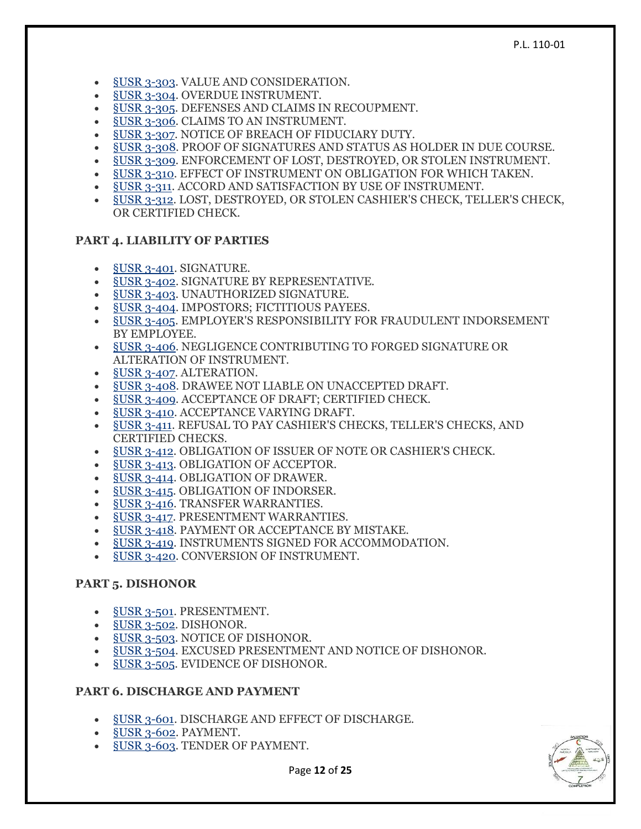- §USR [3-303.](https://www.law.cornell.edu/ucc/3/3-303) VALUE AND CONSIDERATION.
- §USR [3-304.](https://www.law.cornell.edu/ucc/3/3-304) OVERDUE INSTRUMENT.
- §USR [3-305.](https://www.law.cornell.edu/ucc/3/3-305) DEFENSES AND CLAIMS IN RECOUPMENT.
- §USR [3-306.](https://www.law.cornell.edu/ucc/3/3-306) CLAIMS TO AN INSTRUMENT.
- §USR [3-307.](https://www.law.cornell.edu/ucc/3/3-307) NOTICE OF BREACH OF FIDUCIARY DUTY.
- §USR [3-308.](https://www.law.cornell.edu/ucc/3/3-308) PROOF OF SIGNATURES AND STATUS AS HOLDER IN DUE COURSE.
- §USR [3-309.](https://www.law.cornell.edu/ucc/3/3-309) ENFORCEMENT OF LOST, DESTROYED, OR STOLEN INSTRUMENT.
- §USR [3-310.](https://www.law.cornell.edu/ucc/3/3-310) EFFECT OF INSTRUMENT ON OBLIGATION FOR WHICH TAKEN.
- [§USR](https://www.law.cornell.edu/ucc/3/3-311) 3-311. ACCORD AND SATISFACTION BY USE OF INSTRUMENT.
- §USR [3-312.](https://www.law.cornell.edu/ucc/3/3-312) LOST, DESTROYED, OR STOLEN CASHIER'S CHECK, TELLER'S CHECK, OR CERTIFIED CHECK.

#### **PART 4. LIABILITY OF PARTIES**

- §USR [3-401.](https://www.law.cornell.edu/ucc/3/3-401) SIGNATURE.
- §USR [3-402.](https://www.law.cornell.edu/ucc/3/3-402) SIGNATURE BY REPRESENTATIVE.
- §USR [3-403.](https://www.law.cornell.edu/ucc/3/3-403) UNAUTHORIZED SIGNATURE.
- §USR [3-404.](https://www.law.cornell.edu/ucc/3/3-404) IMPOSTORS; FICTITIOUS PAYEES.
- <u>§USR 3-405</u>. EMPLOYER'S RESPONSIBILITY FOR FRAUDULENT INDORSEMENT BY EMPLOYEE.
- §USR [3-406.](https://www.law.cornell.edu/ucc/3/3-406) NEGLIGENCE CONTRIBUTING TO FORGED SIGNATURE OR ALTERATION OF INSTRUMENT.
- §USR [3-407.](https://www.law.cornell.edu/ucc/3/3-407) ALTERATION.
- §USR [3-408.](https://www.law.cornell.edu/ucc/3/3-408) DRAWEE NOT LIABLE ON UNACCEPTED DRAFT.
- §USR [3-409.](https://www.law.cornell.edu/ucc/3/3-409) ACCEPTANCE OF DRAFT; CERTIFIED CHECK.
- §USR [3-410.](https://www.law.cornell.edu/ucc/3/3-410) ACCEPTANCE VARYING DRAFT.
- [§USR](https://www.law.cornell.edu/ucc/3/3-411) 3-411. REFUSAL TO PAY CASHIER'S CHECKS, TELLER'S CHECKS, AND CERTIFIED CHECKS.
- §USR [3-412.](https://www.law.cornell.edu/ucc/3/3-412) OBLIGATION OF ISSUER OF NOTE OR CASHIER'S CHECK.
- <u>§USR 3-413</u>. OBLIGATION OF ACCEPTOR.
- §USR [3-414.](https://www.law.cornell.edu/ucc/3/3-414) OBLIGATION OF DRAWER.
- §USR [3-415.](https://www.law.cornell.edu/ucc/3/3-415) OBLIGATION OF INDORSER.
- §USR [3-416.](https://www.law.cornell.edu/ucc/3/3-416) TRANSFER WARRANTIES.
- §USR [3-417.](https://www.law.cornell.edu/ucc/3/3-417) PRESENTMENT WARRANTIES.
- §USR [3-418.](https://www.law.cornell.edu/ucc/3/3-418) PAYMENT OR ACCEPTANCE BY MISTAKE.
- §USR [3-419.](https://www.law.cornell.edu/ucc/3/3-419) INSTRUMENTS SIGNED FOR ACCOMMODATION.
- §USR [3-420.](https://www.law.cornell.edu/ucc/3/3-420) CONVERSION OF INSTRUMENT.

#### **PART 5. DISHONOR**

- §USR [3-501.](https://www.law.cornell.edu/ucc/3/3-501) PRESENTMENT.
- §USR [3-502.](https://www.law.cornell.edu/ucc/3/3-502) DISHONOR.
- §USR [3-503.](https://www.law.cornell.edu/ucc/3/3-503) NOTICE OF DISHONOR.
- §USR [3-504.](https://www.law.cornell.edu/ucc/3/3-504) EXCUSED PRESENTMENT AND NOTICE OF DISHONOR.
- §USR [3-505.](https://www.law.cornell.edu/ucc/3/3-505) EVIDENCE OF DISHONOR.

#### **PART 6. DISCHARGE AND PAYMENT**

- §USR [3-601.](https://www.law.cornell.edu/ucc/3/3-601) DISCHARGE AND EFFECT OF DISCHARGE.
- §USR [3-602.](https://www.law.cornell.edu/ucc/3/3-602) PAYMENT.
- §USR [3-603.](https://www.law.cornell.edu/ucc/3/3-603) TENDER OF PAYMENT.

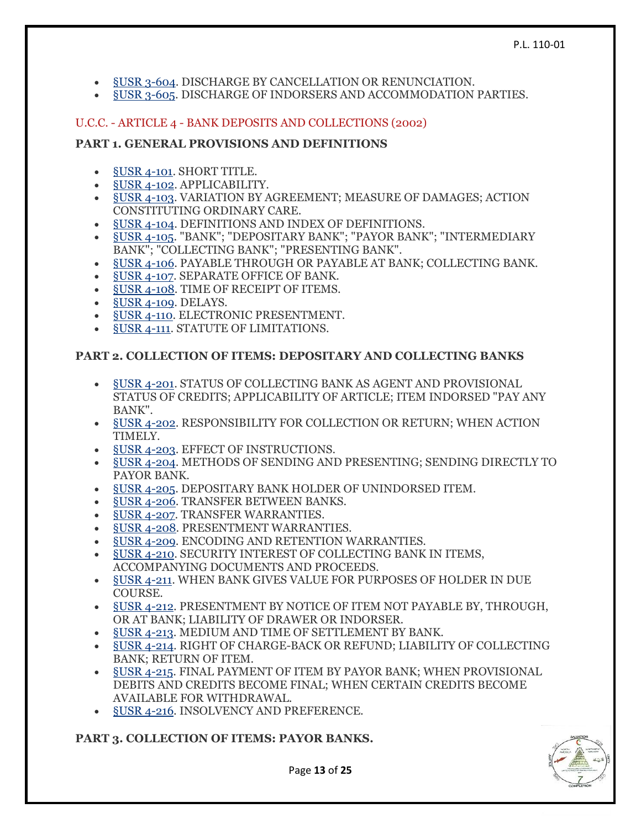- §USR [3-604.](https://www.law.cornell.edu/ucc/3/3-604) DISCHARGE BY CANCELLATION OR RENUNCIATION.
- §USR [3-605.](https://www.law.cornell.edu/ucc/3/3-605) DISCHARGE OF INDORSERS AND ACCOMMODATION PARTIES.

#### U.C.C. - ARTICLE 4 - BANK DEPOSITS AND COLLECTIONS (2002)

#### **PART 1. GENERAL PROVISIONS AND DEFINITIONS**

- **§USR [4-101.](https://www.law.cornell.edu/ucc/4/4-101) SHORT TITLE.**
- §USR [4-102.](https://www.law.cornell.edu/ucc/4/4-102) APPLICABILITY.
- §USR [4-103.](https://www.law.cornell.edu/ucc/4/4-103) VARIATION BY AGREEMENT; MEASURE OF DAMAGES; ACTION CONSTITUTING ORDINARY CARE.
- §USR [4-104.](https://www.law.cornell.edu/ucc/4/4-104) DEFINITIONS AND INDEX OF DEFINITIONS.
- §USR [4-105.](https://www.law.cornell.edu/ucc/4/4-105) "BANK"; "DEPOSITARY BANK"; "PAYOR BANK"; "INTERMEDIARY BANK"; "COLLECTING BANK"; "PRESENTING BANK".
- §USR [4-106.](https://www.law.cornell.edu/ucc/4/4-106) PAYABLE THROUGH OR PAYABLE AT BANK; COLLECTING BANK.
- §USR [4-107.](https://www.law.cornell.edu/ucc/4/4-107) SEPARATE OFFICE OF BANK.
- §USR [4-108.](https://www.law.cornell.edu/ucc/4/4-108) TIME OF RECEIPT OF ITEMS.
- §USR [4-109.](https://www.law.cornell.edu/ucc/4/4-109) DELAYS.
- §USR [4-110.](https://www.law.cornell.edu/ucc/4/4-110) ELECTRONIC PRESENTMENT.
- [§USR](https://www.law.cornell.edu/ucc/4/4-111) 4-111. STATUTE OF LIMITATIONS.

## **PART 2. COLLECTION OF ITEMS: DEPOSITARY AND COLLECTING BANKS**

- §USR [4-201.](https://www.law.cornell.edu/ucc/4/4-201) STATUS OF COLLECTING BANK AS AGENT AND PROVISIONAL STATUS OF CREDITS; APPLICABILITY OF ARTICLE; ITEM INDORSED "PAY ANY BANK".
- §USR [4-202.](https://www.law.cornell.edu/ucc/4/4-202) RESPONSIBILITY FOR COLLECTION OR RETURN; WHEN ACTION TIMELY.
- **§USR [4-203.](https://www.law.cornell.edu/ucc/4/4-203) EFFECT OF INSTRUCTIONS.**
- §USR [4-204.](https://www.law.cornell.edu/ucc/4/4-204) METHODS OF SENDING AND PRESENTING; SENDING DIRECTLY TO PAYOR BANK.
- §USR [4-205.](https://www.law.cornell.edu/ucc/4/4-205) DEPOSITARY BANK HOLDER OF UNINDORSED ITEM.
- §USR [4-206.](https://www.law.cornell.edu/ucc/4/4-206) TRANSFER BETWEEN BANKS.
- §USR [4-207.](https://www.law.cornell.edu/ucc/4/4-207) TRANSFER WARRANTIES.
- §USR [4-208.](https://www.law.cornell.edu/ucc/4/4-208) PRESENTMENT WARRANTIES.
- §USR [4-209.](https://www.law.cornell.edu/ucc/4/4-209) ENCODING AND RETENTION WARRANTIES.
- §USR [4-210.](https://www.law.cornell.edu/ucc/4/4-210) SECURITY INTEREST OF COLLECTING BANK IN ITEMS, ACCOMPANYING DOCUMENTS AND PROCEEDS.
- §USR [4-211.](https://www.law.cornell.edu/ucc/4/4-211) WHEN BANK GIVES VALUE FOR PURPOSES OF HOLDER IN DUE COURSE.
- §USR [4-212.](https://www.law.cornell.edu/ucc/4/4-212) PRESENTMENT BY NOTICE OF ITEM NOT PAYABLE BY, THROUGH, OR AT BANK; LIABILITY OF DRAWER OR INDORSER.
- §USR [4-213.](https://www.law.cornell.edu/ucc/4/4-213) MEDIUM AND TIME OF SETTLEMENT BY BANK.
- §USR [4-214.](https://www.law.cornell.edu/ucc/4/4-214) RIGHT OF CHARGE-BACK OR REFUND; LIABILITY OF COLLECTING BANK; RETURN OF ITEM.
- §USR [4-215.](https://www.law.cornell.edu/ucc/4/4-215) FINAL PAYMENT OF ITEM BY PAYOR BANK; WHEN PROVISIONAL DEBITS AND CREDITS BECOME FINAL; WHEN CERTAIN CREDITS BECOME AVAILABLE FOR WITHDRAWAL.
- §USR [4-216.](https://www.law.cornell.edu/ucc/4/4-216) INSOLVENCY AND PREFERENCE.

#### **PART 3. COLLECTION OF ITEMS: PAYOR BANKS.**



Page **13** of **25**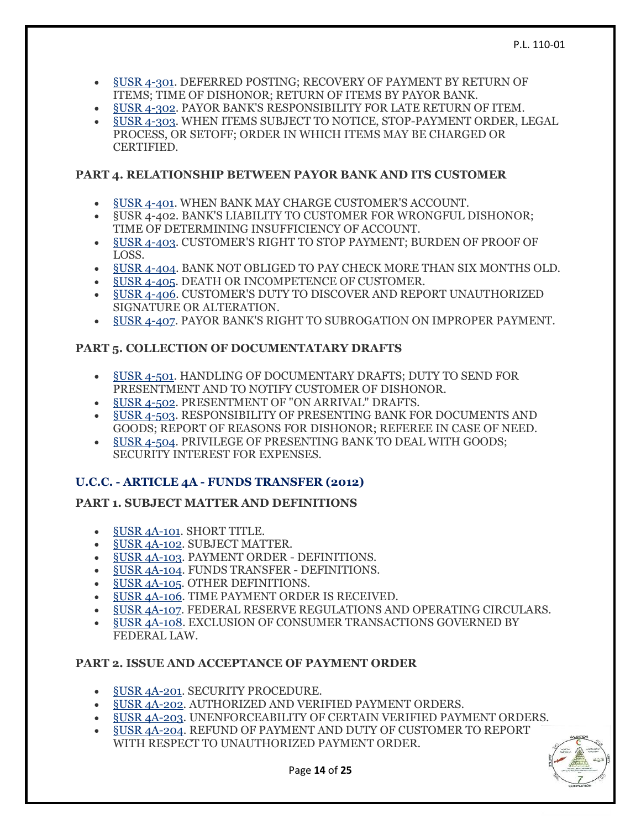- §USR [4-301.](https://www.law.cornell.edu/ucc/4/4-301) DEFERRED POSTING; RECOVERY OF PAYMENT BY RETURN OF ITEMS; TIME OF DISHONOR; RETURN OF ITEMS BY PAYOR BANK.
- §USR [4-302.](https://www.law.cornell.edu/ucc/4/4-302) PAYOR BANK'S RESPONSIBILITY FOR LATE RETURN OF ITEM.
- §USR [4-303.](https://www.law.cornell.edu/ucc/4/4-303) WHEN ITEMS SUBJECT TO NOTICE, STOP-PAYMENT ORDER, LEGAL PROCESS, OR SETOFF; ORDER IN WHICH ITEMS MAY BE CHARGED OR CERTIFIED.

# **PART 4. RELATIONSHIP BETWEEN PAYOR BANK AND ITS CUSTOMER**

- §USR [4-401.](https://www.law.cornell.edu/ucc/4/4-401) WHEN BANK MAY CHARGE CUSTOMER'S ACCOUNT.
- §USR 4-402. BANK'S LIABILITY TO CUSTOMER FOR WRONGFUL DISHONOR; TIME OF DETERMINING INSUFFICIENCY OF ACCOUNT.
- §USR [4-403.](https://www.law.cornell.edu/ucc/4/4-403) CUSTOMER'S RIGHT TO STOP PAYMENT; BURDEN OF PROOF OF LOSS.
- §USR [4-404.](https://www.law.cornell.edu/ucc/4/4-404) BANK NOT OBLIGED TO PAY CHECK MORE THAN SIX MONTHS OLD.
- §USR [4-405.](https://www.law.cornell.edu/ucc/4/4-405) DEATH OR INCOMPETENCE OF CUSTOMER.
- §USR [4-406.](https://www.law.cornell.edu/ucc/4/4-406) CUSTOMER'S DUTY TO DISCOVER AND REPORT UNAUTHORIZED SIGNATURE OR ALTERATION.
- §USR [4-407.](https://www.law.cornell.edu/ucc/4/4-407) PAYOR BANK'S RIGHT TO SUBROGATION ON IMPROPER PAYMENT.

# **PART 5. COLLECTION OF DOCUMENTATARY DRAFTS**

- §USR [4-501.](https://www.law.cornell.edu/ucc/4/4-501) HANDLING OF DOCUMENTARY DRAFTS; DUTY TO SEND FOR PRESENTMENT AND TO NOTIFY CUSTOMER OF DISHONOR.
- §USR [4-502.](https://www.law.cornell.edu/ucc/4/4-502) PRESENTMENT OF "ON ARRIVAL" DRAFTS.
- §USR [4-503.](https://www.law.cornell.edu/ucc/4/4-503) RESPONSIBILITY OF PRESENTING BANK FOR DOCUMENTS AND GOODS; REPORT OF REASONS FOR DISHONOR; REFEREE IN CASE OF NEED.
- §USR [4-504.](https://www.law.cornell.edu/ucc/4/4-504) PRIVILEGE OF PRESENTING BANK TO DEAL WITH GOODS; SECURITY INTEREST FOR EXPENSES.

# **U.C.C. - ARTICLE 4A - FUNDS TRANSFER (2012)**

# **PART 1. SUBJECT MATTER AND DEFINITIONS**

- **§USR [4A-101.](https://www.law.cornell.edu/ucc/4A/4A-101) SHORT TITLE.**
- §USR [4A-102.](https://www.law.cornell.edu/ucc/4A/4A-102) SUBJECT MATTER.
- §USR [4A-103.](https://www.law.cornell.edu/ucc/4A/4A-103) PAYMENT ORDER DEFINITIONS.
- §USR [4A-104.](https://www.law.cornell.edu/ucc/4A/4A-104) FUNDS TRANSFER DEFINITIONS.
- §USR [4A-105.](https://www.law.cornell.edu/ucc/4A/4A-105) OTHER DEFINITIONS.
- §USR [4A-106.](https://www.law.cornell.edu/ucc/4A/4A-106) TIME PAYMENT ORDER IS RECEIVED.
- §USR [4A-107.](https://www.law.cornell.edu/ucc/4A/4A-107) FEDERAL RESERVE REGULATIONS AND OPERATING CIRCULARS.
- §USR [4A-108.](https://www.law.cornell.edu/ucc/4A/4A-108) EXCLUSION OF CONSUMER TRANSACTIONS GOVERNED BY FEDERAL LAW.

# **PART 2. ISSUE AND ACCEPTANCE OF PAYMENT ORDER**

- §USR [4A-201.](https://www.law.cornell.edu/ucc/4A/4A-201) SECURITY PROCEDURE.
- §USR [4A-202.](https://www.law.cornell.edu/ucc/4A/4A-202) AUTHORIZED AND VERIFIED PAYMENT ORDERS.
- §USR [4A-203.](https://www.law.cornell.edu/ucc/4A/4A-203) UNENFORCEABILITY OF CERTAIN VERIFIED PAYMENT ORDERS.
- §USR [4A-204.](https://www.law.cornell.edu/ucc/4A/4A-204) REFUND OF PAYMENT AND DUTY OF CUSTOMER TO REPORT WITH RESPECT TO UNAUTHORIZED PAYMENT ORDER.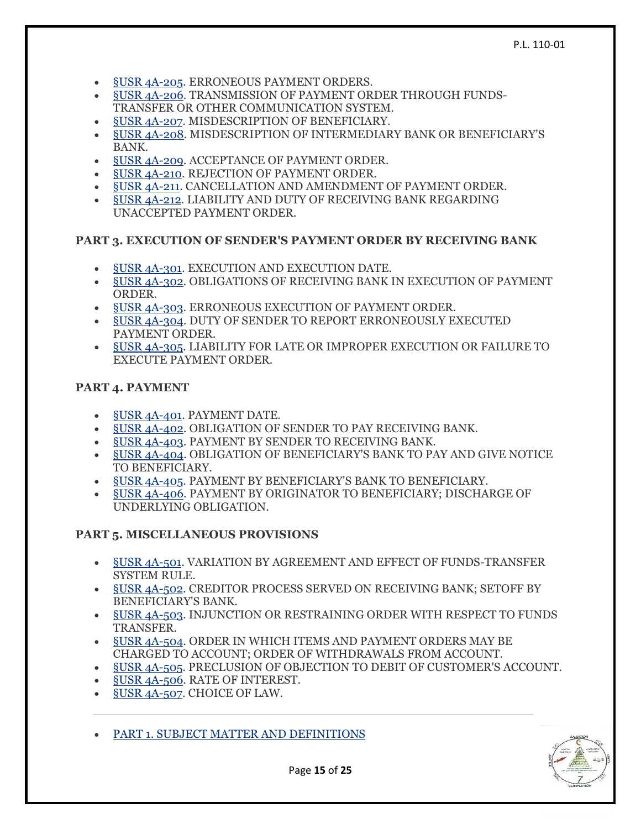- §USR [4A-205.](https://www.law.cornell.edu/ucc/4A/4A-205) ERRONEOUS PAYMENT ORDERS.
- §USR [4A-206.](https://www.law.cornell.edu/ucc/4A/4A-206) TRANSMISSION OF PAYMENT ORDER THROUGH FUNDS-TRANSFER OR OTHER COMMUNICATION SYSTEM.
- §USR [4A-207.](https://www.law.cornell.edu/ucc/4A/4A-207) MISDESCRIPTION OF BENEFICIARY.
- §USR [4A-208.](https://www.law.cornell.edu/ucc/4A/4A-208) MISDESCRIPTION OF INTERMEDIARY BANK OR BENEFICIARY'S BANK.
- §USR [4A-209.](https://www.law.cornell.edu/ucc/4A/4A-209) ACCEPTANCE OF PAYMENT ORDER.
- §USR [4A-210.](https://www.law.cornell.edu/ucc/4A/4A-210) REJECTION OF PAYMENT ORDER.
- §USR [4A-211.](https://www.law.cornell.edu/ucc/4A/4A-211) CANCELLATION AND AMENDMENT OF PAYMENT ORDER.
- §USR [4A-212.](https://www.law.cornell.edu/ucc/4A/4A-212) LIABILITY AND DUTY OF RECEIVING BANK REGARDING UNACCEPTED PAYMENT ORDER.

#### **PART 3. EXECUTION OF SENDER'S PAYMENT ORDER BY RECEIVING BANK**

- §USR [4A-301.](https://www.law.cornell.edu/ucc/4A/4A-301) EXECUTION AND EXECUTION DATE.
- §USR [4A-302.](https://www.law.cornell.edu/ucc/4A/4A-302) OBLIGATIONS OF RECEIVING BANK IN EXECUTION OF PAYMENT ORDER.
- §USR [4A-303.](https://www.law.cornell.edu/ucc/4A/4A-303) ERRONEOUS EXECUTION OF PAYMENT ORDER.
- §USR [4A-304.](https://www.law.cornell.edu/ucc/4A/4A-304) DUTY OF SENDER TO REPORT ERRONEOUSLY EXECUTED PAYMENT ORDER.
- §USR [4A-305.](https://www.law.cornell.edu/ucc/4A/4A-305) LIABILITY FOR LATE OR IMPROPER EXECUTION OR FAILURE TO EXECUTE PAYMENT ORDER.

#### **PART 4. PAYMENT**

- §USR [4A-401.](https://www.law.cornell.edu/ucc/4A/4A-401) PAYMENT DATE.
- §USR [4A-402.](https://www.law.cornell.edu/ucc/4A/4A-402) OBLIGATION OF SENDER TO PAY RECEIVING BANK.
- §USR [4A-403.](https://www.law.cornell.edu/ucc/4A/4A-403) PAYMENT BY SENDER TO RECEIVING BANK.
- §USR [4A-404.](https://www.law.cornell.edu/ucc/4A/4A-404) OBLIGATION OF BENEFICIARY'S BANK TO PAY AND GIVE NOTICE TO BENEFICIARY.
- §USR [4A-405.](https://www.law.cornell.edu/ucc/4A/4A-405) PAYMENT BY BENEFICIARY'S BANK TO BENEFICIARY.
- §USR [4A-406.](https://www.law.cornell.edu/ucc/4A/4A-406) PAYMENT BY ORIGINATOR TO BENEFICIARY; DISCHARGE OF UNDERLYING OBLIGATION.

#### **PART 5. MISCELLANEOUS PROVISIONS**

- §USR [4A-501.](https://www.law.cornell.edu/ucc/4A/4A-501) VARIATION BY AGREEMENT AND EFFECT OF FUNDS-TRANSFER SYSTEM RULE.
- §USR [4A-502.](https://www.law.cornell.edu/ucc/4A/4A-502) CREDITOR PROCESS SERVED ON RECEIVING BANK; SETOFF BY BENEFICIARY'S BANK.
- §USR [4A-503.](https://www.law.cornell.edu/ucc/4A/4A-503) INJUNCTION OR RESTRAINING ORDER WITH RESPECT TO FUNDS TRANSFER.
- §USR [4A-504.](https://www.law.cornell.edu/ucc/4A/4A-504) ORDER IN WHICH ITEMS AND PAYMENT ORDERS MAY BE CHARGED TO ACCOUNT; ORDER OF WITHDRAWALS FROM ACCOUNT.
- §USR [4A-505.](https://www.law.cornell.edu/ucc/4A/4A-505) PRECLUSION OF OBJECTION TO DEBIT OF CUSTOMER'S ACCOUNT.
- §USR [4A-506.](https://www.law.cornell.edu/ucc/4A/4A-506) RATE OF INTEREST.
- §USR [4A-507.](https://www.law.cornell.edu/ucc/4A/4A-507) CHOICE OF LAW.
- [PART 1. SUBJECT MATTER AND DEFINITIONS](https://www.law.cornell.edu/ucc/4A/part_1)

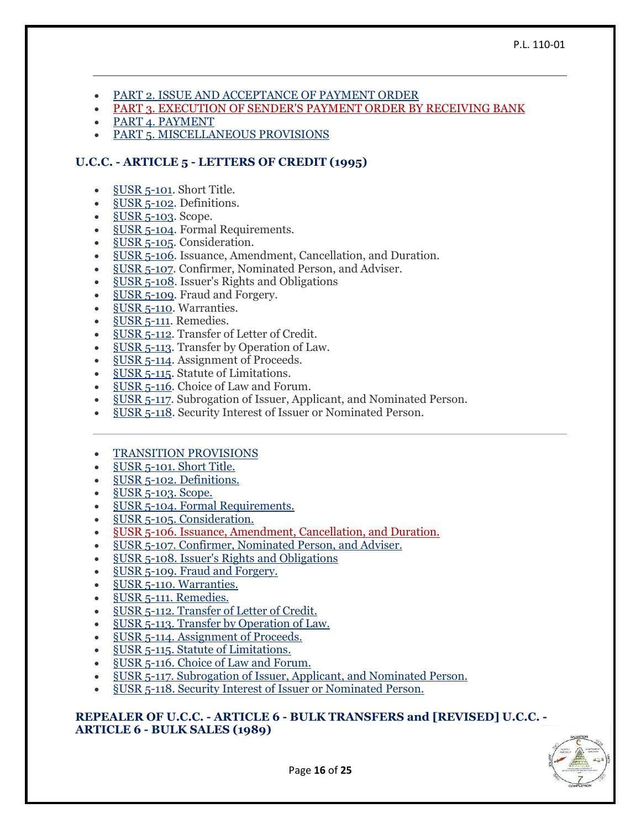- [PART 2. ISSUE AND ACCEPTANCE OF PAYMENT ORDER](https://www.law.cornell.edu/ucc/4A/part_2)
- [PART 3. EXECUTION OF SENDER'S PAYMENT ORDER BY RECEIVING BANK](https://www.law.cornell.edu/ucc/4A/part_3)
- [PART 4. PAYMENT](https://www.law.cornell.edu/ucc/4A/part_4)
- [PART 5. MISCELLANEOUS PROVISIONS](https://www.law.cornell.edu/ucc/4A/part_5)

# **U.C.C. - ARTICLE 5 - LETTERS OF CREDIT (1995)**

- §USR [5-101.](https://www.law.cornell.edu/ucc/5/5-101) Short Title.
- §USR [5-102.](https://www.law.cornell.edu/ucc/5/5-102) Definitions.
- $\bullet$  §USR [5-103.](https://www.law.cornell.edu/ucc/5/5-103) Scope.
- §USR [5-104.](https://www.law.cornell.edu/ucc/5/5-104) Formal Requirements.
- §USR [5-105.](https://www.law.cornell.edu/ucc/5/5-105) Consideration.
- §USR [5-106.](https://www.law.cornell.edu/ucc/5/5-106) Issuance, Amendment, Cancellation, and Duration.
- §USR [5-107.](https://www.law.cornell.edu/ucc/5/5-107) Confirmer, Nominated Person, and Adviser.
- §USR [5-108.](https://www.law.cornell.edu/ucc/5/5-108) Issuer's Rights and Obligations
- §USR [5-109.](https://www.law.cornell.edu/ucc/5/5-109) Fraud and Forgery.
- §USR [5-110.](https://www.law.cornell.edu/ucc/5/5-110) Warranties.
- [§USR](https://www.law.cornell.edu/ucc/5/5-111) 5-111. Remedies.
- [§USR](https://www.law.cornell.edu/ucc/5/5-112) 5-112. Transfer of Letter of Credit.
- [§USR](https://www.law.cornell.edu/ucc/5/5-113) 5-113. Transfer by Operation of Law.
- [§USR](https://www.law.cornell.edu/ucc/5/5-114) 5-114. Assignment of Proceeds.
- <u>[§USR](https://www.law.cornell.edu/ucc/5/5-115) 5-115</u>. Statute of Limitations.
- [§USR](https://www.law.cornell.edu/ucc/5/5-116) 5-116. Choice of Law and Forum.
- [§USR](https://www.law.cornell.edu/ucc/5/5-117) 5-117. Subrogation of Issuer, Applicant, and Nominated Person.
- **§USR [5-118.](https://www.law.cornell.edu/ucc/5/5-118)** Security Interest of Issuer or Nominated Person.
- [TRANSITION PROVISIONS](https://www.law.cornell.edu/ucc/5/transition_provisions)
- §USR [5-101. Short Title.](https://www.law.cornell.edu/ucc/5/5-101)
- §USR [5-102. Definitions.](https://www.law.cornell.edu/ucc/5/5-102)
- §USR [5-103. Scope.](https://www.law.cornell.edu/ucc/5/5-103)
- §USR [5-104. Formal Requirements.](https://www.law.cornell.edu/ucc/5/5-104)
- §USR [5-105. Consideration.](https://www.law.cornell.edu/ucc/5/5-105)
- §USR [5-106. Issuance, Amendment, Cancellation, and Duration.](https://www.law.cornell.edu/ucc/5/5-106)
- §USR [5-107. Confirmer, Nominated Person, and Adviser.](https://www.law.cornell.edu/ucc/5/5-107)
- §USR [5-108. Issuer's Rights and Obligations](https://www.law.cornell.edu/ucc/5/5-108)
- §USR [5-109. Fraud and Forgery.](https://www.law.cornell.edu/ucc/5/5-109)
- §USR [5-110. Warranties.](https://www.law.cornell.edu/ucc/5/5-110)
- **§USR [5-111. Remedies.](https://www.law.cornell.edu/ucc/5/5-111)**
- §USR [5-112. Transfer of Letter of Credit.](https://www.law.cornell.edu/ucc/5/5-112)
- §USR [5-113. Transfer by Operation of Law.](https://www.law.cornell.edu/ucc/5/5-113)
- §USR [5-114. Assignment of Proceeds.](https://www.law.cornell.edu/ucc/5/5-114)
- §USR [5-115. Statute of Limitations.](https://www.law.cornell.edu/ucc/5/5-115)
- §USR [5-116. Choice of Law and Forum.](https://www.law.cornell.edu/ucc/5/5-116)
- §USR [5-117. Subrogation of Issuer, Applicant, and Nominated Person.](https://www.law.cornell.edu/ucc/5/5-117)
- §USR [5-118. Security Interest of Issuer or Nominated Person.](https://www.law.cornell.edu/ucc/5/5-118)

#### **REPEALER OF U.C.C. - ARTICLE 6 - BULK TRANSFERS and [REVISED] U.C.C. - ARTICLE 6 - BULK SALES (1989)**

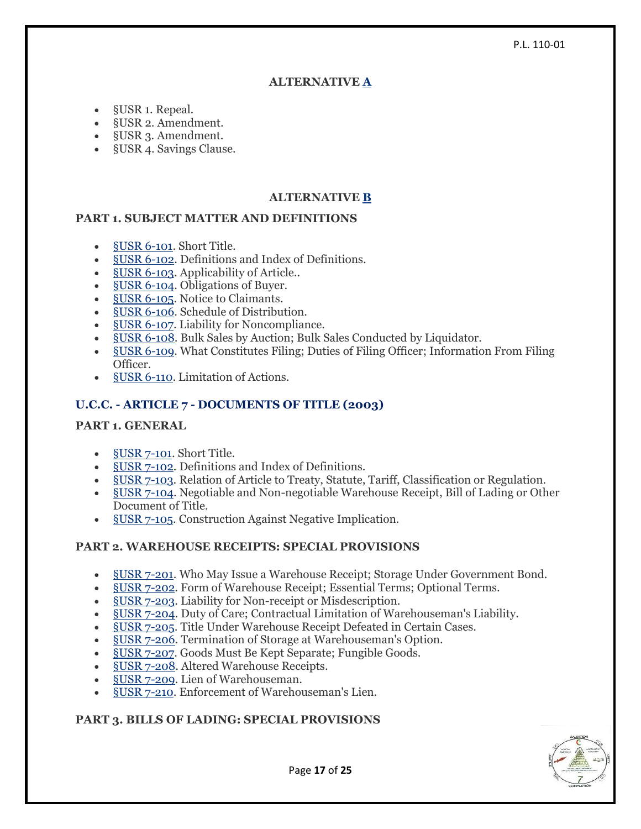#### P.L. 110-01

## **ALTERNATIVE [A](https://www.law.cornell.edu/ucc/article6.htm#alternative_A)**

- §USR 1. Repeal.
- §USR 2. Amendment.
- §USR 3. Amendment.
- §USR 4. Savings Clause.

# **ALTERNATIVE [B](https://www.law.cornell.edu/ucc/article6.htm#alternative_B)**

## **PART 1. SUBJECT MATTER AND DEFINITIONS**

- §USR [6-101.](https://www.law.cornell.edu/ucc/6/6-101) Short Title.
- §USR [6-102.](https://www.law.cornell.edu/ucc/6/6-102) Definitions and Index of Definitions.
- §USR [6-103.](https://www.law.cornell.edu/ucc/6/6-103) Applicability of Article..
- §USR [6-104.](https://www.law.cornell.edu/ucc/6/6-104) Obligations of Buyer.
- **§USR [6-105.](https://www.law.cornell.edu/ucc/6/6-105)** Notice to Claimants.
- §USR [6-106.](https://www.law.cornell.edu/ucc/6/6-106) Schedule of Distribution.
- §USR [6-107.](https://www.law.cornell.edu/ucc/6/6-107) Liability for Noncompliance.
- §USR [6-108.](https://www.law.cornell.edu/ucc/6/6-108) Bulk Sales by Auction; Bulk Sales Conducted by Liquidator.
- §USR [6-109.](https://www.law.cornell.edu/ucc/6/6-109) What Constitutes Filing; Duties of Filing Officer; Information From Filing Officer.
- §USR [6-110.](https://www.law.cornell.edu/ucc/6/6-110) Limitation of Actions.

## **U.C.C. - ARTICLE 7 - DOCUMENTS OF TITLE (2003)**

#### **PART 1. GENERAL**

- [§USR](https://www.law.cornell.edu/ucc/7/7-101) 7-101. Short Title.
- §USR [7-102.](https://www.law.cornell.edu/ucc/7/7-102) Definitions and Index of Definitions.
- §USR [7-103.](https://www.law.cornell.edu/ucc/7/7-103) Relation of Article to Treaty, Statute, Tariff, Classification or Regulation.
- §USR [7-104.](https://www.law.cornell.edu/ucc/7/7-104) Negotiable and Non-negotiable Warehouse Receipt, Bill of Lading or Other Document of Title.
- §USR [7-105.](https://www.law.cornell.edu/ucc/7/7-105) Construction Against Negative Implication.

# **PART 2. WAREHOUSE RECEIPTS: SPECIAL PROVISIONS**

- §USR [7-201.](https://www.law.cornell.edu/ucc/7/7-201) Who May Issue a Warehouse Receipt; Storage Under Government Bond.
- §USR [7-202.](https://www.law.cornell.edu/ucc/7/7-202) Form of Warehouse Receipt; Essential Terms; Optional Terms.
- §USR [7-203.](https://www.law.cornell.edu/ucc/7/7-203) Liability for Non-receipt or Misdescription.
- §USR [7-204.](https://www.law.cornell.edu/ucc/7/7-204) Duty of Care; Contractual Limitation of Warehouseman's Liability.
- §USR [7-205.](https://www.law.cornell.edu/ucc/7/7-205) Title Under Warehouse Receipt Defeated in Certain Cases.
- §USR [7-206.](https://www.law.cornell.edu/ucc/7/7-206) Termination of Storage at Warehouseman's Option.
- §USR [7-207.](https://www.law.cornell.edu/ucc/7/7-207) Goods Must Be Kept Separate; Fungible Goods.
- §USR [7-208.](https://www.law.cornell.edu/ucc/7/7-208) Altered Warehouse Receipts.
- §USR [7-209.](https://www.law.cornell.edu/ucc/7/7-209) Lien of Warehouseman.
- §USR [7-210.](https://www.law.cornell.edu/ucc/7/7-210) Enforcement of Warehouseman's Lien.

# **PART 3. BILLS OF LADING: SPECIAL PROVISIONS**



Page **17** of **25**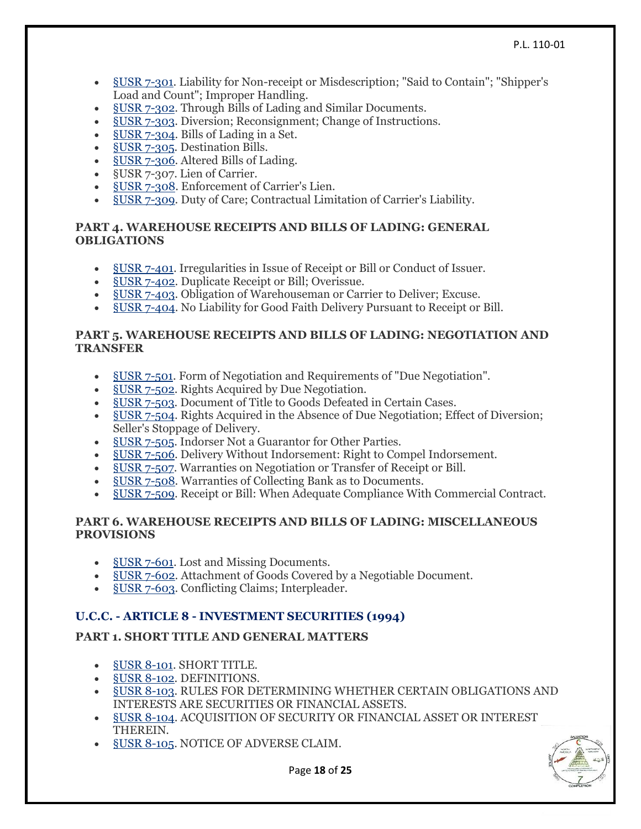- §USR [7-301.](https://www.law.cornell.edu/ucc/7/7-301) Liability for Non-receipt or Misdescription; "Said to Contain"; "Shipper's Load and Count"; Improper Handling.
- §USR [7-302.](https://www.law.cornell.edu/ucc/7/7-302) Through Bills of Lading and Similar Documents.
- §USR [7-303.](https://www.law.cornell.edu/ucc/7/7-303) Diversion; Reconsignment; Change of Instructions.
- §USR [7-304.](https://www.law.cornell.edu/ucc/7/7-304) Bills of Lading in a Set.
- §USR [7-305.](https://www.law.cornell.edu/ucc/7/7-305) Destination Bills.
- §USR [7-306.](https://www.law.cornell.edu/ucc/7/7-306) Altered Bills of Lading.
- §USR 7-307. Lien of Carrier.
- §USR [7-308.](https://www.law.cornell.edu/ucc/7/7-308) Enforcement of Carrier's Lien.
- §USR [7-309.](https://www.law.cornell.edu/ucc/7/7-309) Duty of Care; Contractual Limitation of Carrier's Liability.

#### **PART 4. WAREHOUSE RECEIPTS AND BILLS OF LADING: GENERAL OBLIGATIONS**

- §USR [7-401.](https://www.law.cornell.edu/ucc/7/7-401) Irregularities in Issue of Receipt or Bill or Conduct of Issuer.
- §USR [7-402.](https://www.law.cornell.edu/ucc/7/7-402) Duplicate Receipt or Bill; Overissue.
- §USR [7-403.](https://www.law.cornell.edu/ucc/7/7-403) Obligation of Warehouseman or Carrier to Deliver; Excuse.
- §USR [7-404.](https://www.law.cornell.edu/ucc/7/7-404) No Liability for Good Faith Delivery Pursuant to Receipt or Bill.

#### **PART 5. WAREHOUSE RECEIPTS AND BILLS OF LADING: NEGOTIATION AND TRANSFER**

- §USR [7-501.](https://www.law.cornell.edu/ucc/7/7-501) Form of Negotiation and Requirements of "Due Negotiation".
- §USR [7-502.](https://www.law.cornell.edu/ucc/7/7-502) Rights Acquired by Due Negotiation.
- SUSR [7-503.](https://www.law.cornell.edu/ucc/7/7-503) Document of Title to Goods Defeated in Certain Cases.
- §USR [7-504.](https://www.law.cornell.edu/ucc/7/7-504) Rights Acquired in the Absence of Due Negotiation; Effect of Diversion; Seller's Stoppage of Delivery.
- §USR [7-505.](https://www.law.cornell.edu/ucc/7/7-505) Indorser Not a Guarantor for Other Parties.
- §USR [7-506.](https://www.law.cornell.edu/ucc/7/7-506) Delivery Without Indorsement: Right to Compel Indorsement.
- §USR [7-507.](https://www.law.cornell.edu/ucc/7/7-507) Warranties on Negotiation or Transfer of Receipt or Bill.
- §USR [7-508.](https://www.law.cornell.edu/ucc/7/7-508) Warranties of Collecting Bank as to Documents.
- §USR [7-509.](https://www.law.cornell.edu/ucc/7/7-509) Receipt or Bill: When Adequate Compliance With Commercial Contract.

#### **PART 6. WAREHOUSE RECEIPTS AND BILLS OF LADING: MISCELLANEOUS PROVISIONS**

- §USR [7-601.](https://www.law.cornell.edu/ucc/7/7-601) Lost and Missing Documents.
- §USR [7-602.](https://www.law.cornell.edu/ucc/7/7-602) Attachment of Goods Covered by a Negotiable Document.
- §USR [7-603.](https://www.law.cornell.edu/ucc/7/7-603) Conflicting Claims; Interpleader.

# **U.C.C. - ARTICLE 8 - INVESTMENT SECURITIES (1994)**

# **PART 1. SHORT TITLE AND GENERAL MATTERS**

- §USR [8-101.](https://www.law.cornell.edu/ucc/8/8-101) SHORT TITLE.
- §USR [8-102.](https://www.law.cornell.edu/ucc/8/8-102) DEFINITIONS.
- §USR [8-103.](https://www.law.cornell.edu/ucc/8/8-103) RULES FOR DETERMINING WHETHER CERTAIN OBLIGATIONS AND INTERESTS ARE SECURITIES OR FINANCIAL ASSETS.
- §USR [8-104.](https://www.law.cornell.edu/ucc/8/8-104) ACQUISITION OF SECURITY OR FINANCIAL ASSET OR INTEREST THEREIN.
- §USR [8-105.](https://www.law.cornell.edu/ucc/8/8-105) NOTICE OF ADVERSE CLAIM.

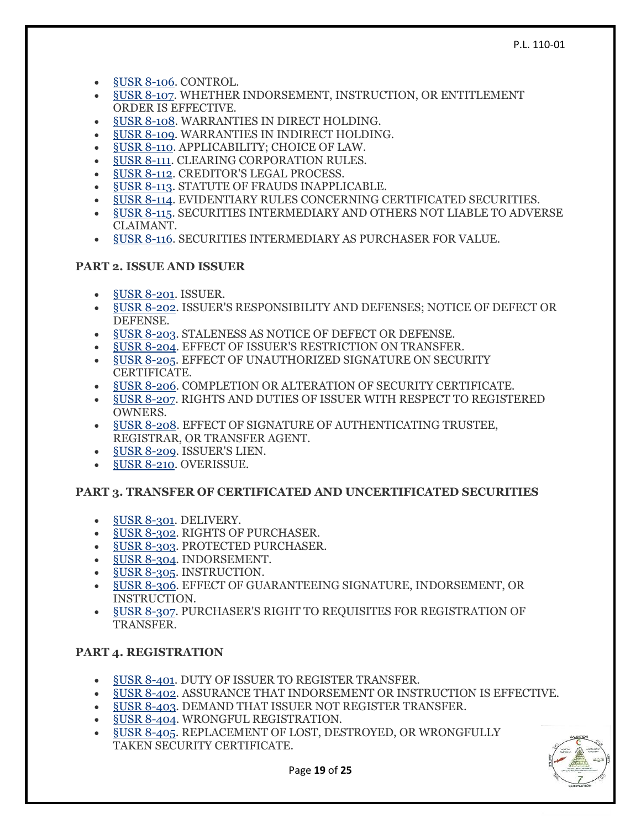- §USR [8-106.](https://www.law.cornell.edu/ucc/8/8-106) CONTROL.
- §USR [8-107.](https://www.law.cornell.edu/ucc/8/8-107) WHETHER INDORSEMENT, INSTRUCTION, OR ENTITLEMENT ORDER IS EFFECTIVE.
- §USR [8-108.](https://www.law.cornell.edu/ucc/8/8-108) WARRANTIES IN DIRECT HOLDING.
- §USR [8-109.](https://www.law.cornell.edu/ucc/8/8-109) WARRANTIES IN INDIRECT HOLDING.
- §USR [8-110.](https://www.law.cornell.edu/ucc/8/8-110) APPLICABILITY; CHOICE OF LAW.
- [§USR](https://www.law.cornell.edu/ucc/8/8-111) 8-111. CLEARING CORPORATION RULES.
- §USR [8-112.](https://www.law.cornell.edu/ucc/8/8-112) CREDITOR'S LEGAL PROCESS.
- §USR [8-113.](https://www.law.cornell.edu/ucc/8/8-113) STATUTE OF FRAUDS INAPPLICABLE.
- **§USR [8-114.](https://www.law.cornell.edu/ucc/8/8-114) EVIDENTIARY RULES CONCERNING CERTIFICATED SECURITIES.**
- §USR [8-115.](https://www.law.cornell.edu/ucc/8/8-115) SECURITIES INTERMEDIARY AND OTHERS NOT LIABLE TO ADVERSE CLAIMANT.
- §USR [8-116.](https://www.law.cornell.edu/ucc/8/8-116) SECURITIES INTERMEDIARY AS PURCHASER FOR VALUE.

## **PART 2. ISSUE AND ISSUER**

- §USR [8-201.](https://www.law.cornell.edu/ucc/8/8-201) ISSUER.
- §USR [8-202.](https://www.law.cornell.edu/ucc/8/8-202) ISSUER'S RESPONSIBILITY AND DEFENSES; NOTICE OF DEFECT OR DEFENSE.
- §USR [8-203.](https://www.law.cornell.edu/ucc/8/8-203) STALENESS AS NOTICE OF DEFECT OR DEFENSE.
- §USR [8-204.](https://www.law.cornell.edu/ucc/8/8-204) EFFECT OF ISSUER'S RESTRICTION ON TRANSFER.
- §USR [8-205.](https://www.law.cornell.edu/ucc/8/8-205) EFFECT OF UNAUTHORIZED SIGNATURE ON SECURITY CERTIFICATE.
- §USR [8-206.](https://www.law.cornell.edu/ucc/8/8-206) COMPLETION OR ALTERATION OF SECURITY CERTIFICATE.
- §USR [8-207.](https://www.law.cornell.edu/ucc/8/8-207) RIGHTS AND DUTIES OF ISSUER WITH RESPECT TO REGISTERED OWNERS.
- §USR [8-208.](https://www.law.cornell.edu/ucc/8/8-208) EFFECT OF SIGNATURE OF AUTHENTICATING TRUSTEE, REGISTRAR, OR TRANSFER AGENT.
- §USR [8-209.](https://www.law.cornell.edu/ucc/8/8-209) ISSUER'S LIEN.
- §USR [8-210.](https://www.law.cornell.edu/ucc/8/8-210) OVERISSUE.

# **PART 3. TRANSFER OF CERTIFICATED AND UNCERTIFICATED SECURITIES**

- §USR [8-301.](https://www.law.cornell.edu/ucc/8/8-301) DELIVERY.
- §USR [8-302.](https://www.law.cornell.edu/ucc/8/8-302) RIGHTS OF PURCHASER.
- §USR [8-303.](https://www.law.cornell.edu/ucc/8/8-303) PROTECTED PURCHASER.
- §USR [8-304.](https://www.law.cornell.edu/ucc/8/8-304) INDORSEMENT.
- §USR [8-305.](https://www.law.cornell.edu/ucc/8/8-305) INSTRUCTION.
- §USR [8-306.](https://www.law.cornell.edu/ucc/8/8-306) EFFECT OF GUARANTEEING SIGNATURE, INDORSEMENT, OR INSTRUCTION.
- §USR [8-307.](https://www.law.cornell.edu/ucc/8/8-307) PURCHASER'S RIGHT TO REQUISITES FOR REGISTRATION OF TRANSFER.

# **PART 4. REGISTRATION**

- §USR [8-401.](https://www.law.cornell.edu/ucc/8/8-401) DUTY OF ISSUER TO REGISTER TRANSFER.
- §USR [8-402.](https://www.law.cornell.edu/ucc/8/8-402) ASSURANCE THAT INDORSEMENT OR INSTRUCTION IS EFFECTIVE.
- §USR [8-403.](https://www.law.cornell.edu/ucc/8/8-403) DEMAND THAT ISSUER NOT REGISTER TRANSFER.
- §USR [8-404.](https://www.law.cornell.edu/ucc/8/8-404) WRONGFUL REGISTRATION.
- §USR [8-405.](https://www.law.cornell.edu/ucc/8/8-405) REPLACEMENT OF LOST, DESTROYED, OR WRONGFULLY TAKEN SECURITY CERTIFICATE.

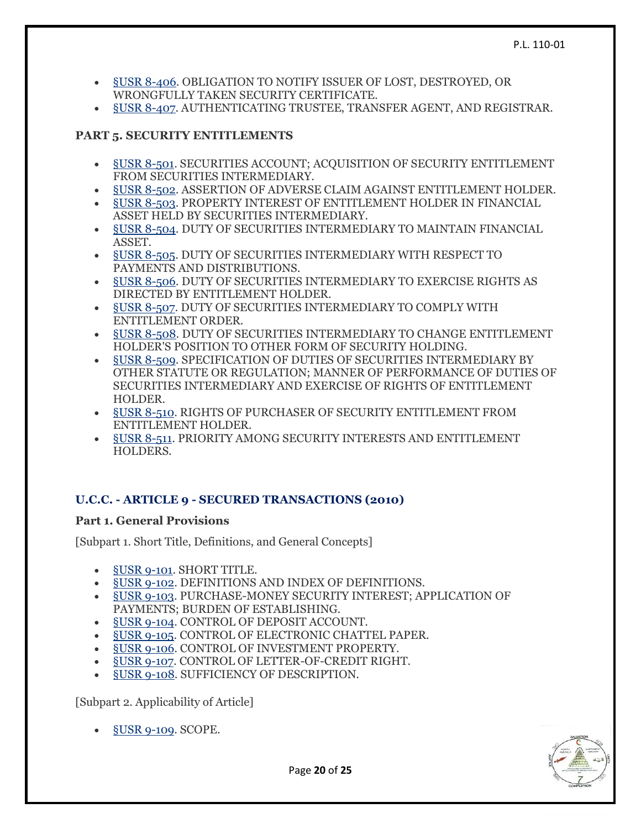- §USR [8-406.](https://www.law.cornell.edu/ucc/8/8-406) OBLIGATION TO NOTIFY ISSUER OF LOST, DESTROYED, OR WRONGFULLY TAKEN SECURITY CERTIFICATE.
- §USR [8-407.](https://www.law.cornell.edu/ucc/8/8-407) AUTHENTICATING TRUSTEE, TRANSFER AGENT, AND REGISTRAR.

# **PART 5. SECURITY ENTITLEMENTS**

- §USR [8-501.](https://www.law.cornell.edu/ucc/8/8-501) SECURITIES ACCOUNT; ACQUISITION OF SECURITY ENTITLEMENT FROM SECURITIES INTERMEDIARY.
- §USR [8-502.](https://www.law.cornell.edu/ucc/8/8-502) ASSERTION OF ADVERSE CLAIM AGAINST ENTITLEMENT HOLDER.
- §USR [8-503.](https://www.law.cornell.edu/ucc/8/8-503) PROPERTY INTEREST OF ENTITLEMENT HOLDER IN FINANCIAL ASSET HELD BY SECURITIES INTERMEDIARY.
- §USR [8-504.](https://www.law.cornell.edu/ucc/8/8-504) DUTY OF SECURITIES INTERMEDIARY TO MAINTAIN FINANCIAL ASSET.
- §USR [8-505.](https://www.law.cornell.edu/ucc/8/8-505) DUTY OF SECURITIES INTERMEDIARY WITH RESPECT TO PAYMENTS AND DISTRIBUTIONS.
- §USR [8-506.](https://www.law.cornell.edu/ucc/8/8-506) DUTY OF SECURITIES INTERMEDIARY TO EXERCISE RIGHTS AS DIRECTED BY ENTITLEMENT HOLDER.
- §USR [8-507.](https://www.law.cornell.edu/ucc/8/8-507) DUTY OF SECURITIES INTERMEDIARY TO COMPLY WITH ENTITLEMENT ORDER.
- §USR [8-508.](https://www.law.cornell.edu/ucc/8/8-508) DUTY OF SECURITIES INTERMEDIARY TO CHANGE ENTITLEMENT HOLDER'S POSITION TO OTHER FORM OF SECURITY HOLDING.
- §USR [8-509.](https://www.law.cornell.edu/ucc/8/8-509) SPECIFICATION OF DUTIES OF SECURITIES INTERMEDIARY BY OTHER STATUTE OR REGULATION; MANNER OF PERFORMANCE OF DUTIES OF SECURITIES INTERMEDIARY AND EXERCISE OF RIGHTS OF ENTITLEMENT HOLDER.
- §USR [8-510.](https://www.law.cornell.edu/ucc/8/8-510) RIGHTS OF PURCHASER OF SECURITY ENTITLEMENT FROM ENTITLEMENT HOLDER.
- §USR [8-511.](https://www.law.cornell.edu/ucc/8/8-511) PRIORITY AMONG SECURITY INTERESTS AND ENTITLEMENT HOLDERS.

# **U.C.C. - ARTICLE 9 - SECURED TRANSACTIONS (2010)**

#### **Part 1. General Provisions**

[Subpart 1. Short Title, Definitions, and General Concepts]

- §USR [9-101.](https://www.law.cornell.edu/ucc/9/9-101) SHORT TITLE.
- §USR [9-102.](https://www.law.cornell.edu/ucc/9/9-102) DEFINITIONS AND INDEX OF DEFINITIONS.
- §USR [9-103.](https://www.law.cornell.edu/ucc/9/9-103) PURCHASE-MONEY SECURITY INTEREST; APPLICATION OF PAYMENTS; BURDEN OF ESTABLISHING.
- §USR [9-104.](https://www.law.cornell.edu/ucc/9/9-104) CONTROL OF DEPOSIT ACCOUNT.
- §USR [9-105.](https://www.law.cornell.edu/ucc/9/9-105) CONTROL OF ELECTRONIC CHATTEL PAPER.
- §USR [9-106.](https://www.law.cornell.edu/ucc/9/9-106) CONTROL OF INVESTMENT PROPERTY.
- §USR [9-107.](https://www.law.cornell.edu/ucc/9/9-107) CONTROL OF LETTER-OF-CREDIT RIGHT.
- §USR [9-108.](https://www.law.cornell.edu/ucc/9/9-108) SUFFICIENCY OF DESCRIPTION.

[Subpart 2. Applicability of Article]

§USR [9-109.](https://www.law.cornell.edu/ucc/9/9-109) SCOPE.



Page **20** of **25**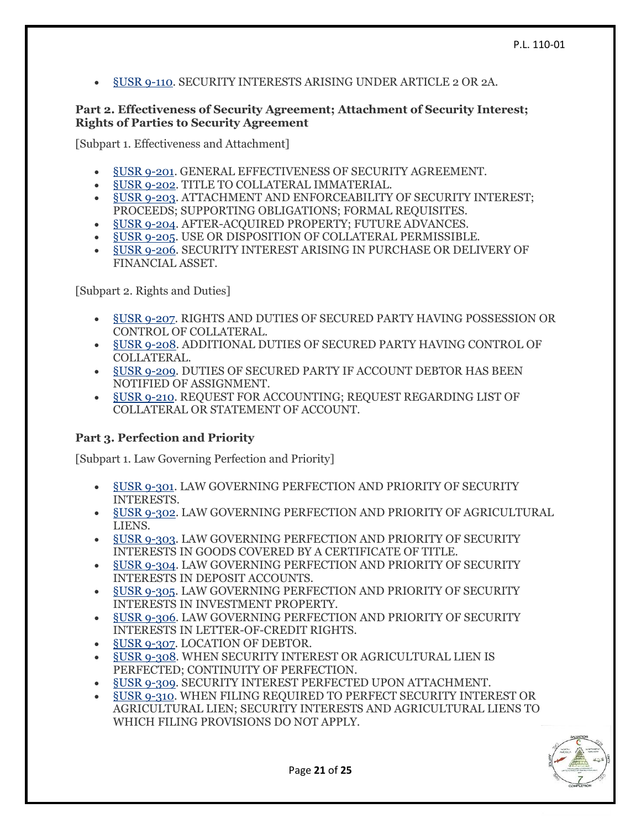§USR [9-110.](https://www.law.cornell.edu/ucc/9/9-110) SECURITY INTERESTS ARISING UNDER ARTICLE 2 OR 2A.

#### **Part 2. Effectiveness of Security Agreement; Attachment of Security Interest; Rights of Parties to Security Agreement**

[Subpart 1. Effectiveness and Attachment]

- §USR [9-201.](https://www.law.cornell.edu/ucc/9/9-201) GENERAL EFFECTIVENESS OF SECURITY AGREEMENT.
- §USR [9-202.](https://www.law.cornell.edu/ucc/9/9-202) TITLE TO COLLATERAL IMMATERIAL.
- §USR [9-203.](https://www.law.cornell.edu/ucc/9/9-203) ATTACHMENT AND ENFORCEABILITY OF SECURITY INTEREST; PROCEEDS; SUPPORTING OBLIGATIONS; FORMAL REQUISITES.
- §USR [9-204.](https://www.law.cornell.edu/ucc/9/9-204) AFTER-ACQUIRED PROPERTY; FUTURE ADVANCES.
- §USR [9-205.](https://www.law.cornell.edu/ucc/9/9-205) USE OR DISPOSITION OF COLLATERAL PERMISSIBLE.
- §USR [9-206.](https://www.law.cornell.edu/ucc/9/9-206) SECURITY INTEREST ARISING IN PURCHASE OR DELIVERY OF FINANCIAL ASSET.

[Subpart 2. Rights and Duties]

- §USR [9-207.](https://www.law.cornell.edu/ucc/9/9-207) RIGHTS AND DUTIES OF SECURED PARTY HAVING POSSESSION OR CONTROL OF COLLATERAL.
- §USR [9-208.](https://www.law.cornell.edu/ucc/9/9-208) ADDITIONAL DUTIES OF SECURED PARTY HAVING CONTROL OF COLLATERAL.
- §USR [9-209.](https://www.law.cornell.edu/ucc/9/9-209) DUTIES OF SECURED PARTY IF ACCOUNT DEBTOR HAS BEEN NOTIFIED OF ASSIGNMENT.
- §USR [9-210.](https://www.law.cornell.edu/ucc/9/9-210) REQUEST FOR ACCOUNTING; REQUEST REGARDING LIST OF COLLATERAL OR STATEMENT OF ACCOUNT.

# **Part 3. Perfection and Priority**

[Subpart 1. Law Governing Perfection and Priority]

- §USR [9-301.](https://www.law.cornell.edu/ucc/9/9-301) LAW GOVERNING PERFECTION AND PRIORITY OF SECURITY INTERESTS.
- §USR [9-302.](https://www.law.cornell.edu/ucc/9/9-302) LAW GOVERNING PERFECTION AND PRIORITY OF AGRICULTURAL LIENS.
- §USR [9-303.](https://www.law.cornell.edu/ucc/9/9-303) LAW GOVERNING PERFECTION AND PRIORITY OF SECURITY INTERESTS IN GOODS COVERED BY A CERTIFICATE OF TITLE.
- §USR [9-304.](https://www.law.cornell.edu/ucc/9/9-304) LAW GOVERNING PERFECTION AND PRIORITY OF SECURITY INTERESTS IN DEPOSIT ACCOUNTS.
- §USR [9-305.](https://www.law.cornell.edu/ucc/9/9-305) LAW GOVERNING PERFECTION AND PRIORITY OF SECURITY INTERESTS IN INVESTMENT PROPERTY.
- §USR [9-306.](https://www.law.cornell.edu/ucc/9/9-306) LAW GOVERNING PERFECTION AND PRIORITY OF SECURITY INTERESTS IN LETTER-OF-CREDIT RIGHTS.
- §USR [9-307.](https://www.law.cornell.edu/ucc/9/9-307) LOCATION OF DEBTOR.
- §USR [9-308.](https://www.law.cornell.edu/ucc/9/9-308) WHEN SECURITY INTEREST OR AGRICULTURAL LIEN IS PERFECTED; CONTINUITY OF PERFECTION.
- §USR [9-309.](https://www.law.cornell.edu/ucc/9/9-309) SECURITY INTEREST PERFECTED UPON ATTACHMENT.
- §USR [9-310.](https://www.law.cornell.edu/ucc/9/9-310) WHEN FILING REQUIRED TO PERFECT SECURITY INTEREST OR AGRICULTURAL LIEN; SECURITY INTERESTS AND AGRICULTURAL LIENS TO WHICH FILING PROVISIONS DO NOT APPLY.

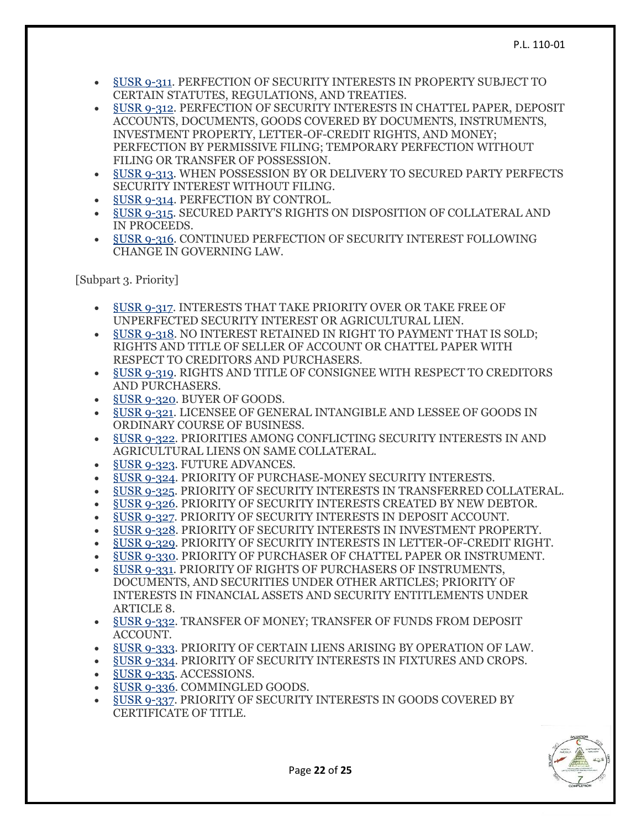- [§USR](https://www.law.cornell.edu/ucc/9/9-311) 9-311. PERFECTION OF SECURITY INTERESTS IN PROPERTY SUBJECT TO CERTAIN STATUTES, REGULATIONS, AND TREATIES.
- §USR [9-312.](https://www.law.cornell.edu/ucc/9/9-312) PERFECTION OF SECURITY INTERESTS IN CHATTEL PAPER, DEPOSIT ACCOUNTS, DOCUMENTS, GOODS COVERED BY DOCUMENTS, INSTRUMENTS, INVESTMENT PROPERTY, LETTER-OF-CREDIT RIGHTS, AND MONEY; PERFECTION BY PERMISSIVE FILING; TEMPORARY PERFECTION WITHOUT FILING OR TRANSFER OF POSSESSION.
- §USR [9-313.](https://www.law.cornell.edu/ucc/9/9-313) WHEN POSSESSION BY OR DELIVERY TO SECURED PARTY PERFECTS SECURITY INTEREST WITHOUT FILING.
- §USR [9-314.](https://www.law.cornell.edu/ucc/9/9-314) PERFECTION BY CONTROL.
- §USR [9-315.](https://www.law.cornell.edu/ucc/9/9-315) SECURED PARTY'S RIGHTS ON DISPOSITION OF COLLATERAL AND IN PROCEEDS.
- §USR [9-316.](https://www.law.cornell.edu/ucc/9/9-316) CONTINUED PERFECTION OF SECURITY INTEREST FOLLOWING CHANGE IN GOVERNING LAW.

[Subpart 3. Priority]

- §USR [9-317.](https://www.law.cornell.edu/ucc/9/9-317) INTERESTS THAT TAKE PRIORITY OVER OR TAKE FREE OF UNPERFECTED SECURITY INTEREST OR AGRICULTURAL LIEN.
- §USR [9-318.](https://www.law.cornell.edu/ucc/9/9-318) NO INTEREST RETAINED IN RIGHT TO PAYMENT THAT IS SOLD; RIGHTS AND TITLE OF SELLER OF ACCOUNT OR CHATTEL PAPER WITH RESPECT TO CREDITORS AND PURCHASERS.
- §USR [9-319.](https://www.law.cornell.edu/ucc/9/9-319) RIGHTS AND TITLE OF CONSIGNEE WITH RESPECT TO CREDITORS AND PURCHASERS.
- **§USR [9-320.](https://www.law.cornell.edu/ucc/9/9-320) BUYER OF GOODS.**
- §USR [9-321.](https://www.law.cornell.edu/ucc/9/9-321) LICENSEE OF GENERAL INTANGIBLE AND LESSEE OF GOODS IN ORDINARY COURSE OF BUSINESS.
- §USR [9-322.](https://www.law.cornell.edu/ucc/9/9-322) PRIORITIES AMONG CONFLICTING SECURITY INTERESTS IN AND AGRICULTURAL LIENS ON SAME COLLATERAL.
- §USR [9-323.](https://www.law.cornell.edu/ucc/9/9-323) FUTURE ADVANCES.
- §USR [9-324.](https://www.law.cornell.edu/ucc/9/9-324) PRIORITY OF PURCHASE-MONEY SECURITY INTERESTS.
- §USR [9-325.](https://www.law.cornell.edu/ucc/9/9-325) PRIORITY OF SECURITY INTERESTS IN TRANSFERRED COLLATERAL.
- §USR [9-326.](https://www.law.cornell.edu/ucc/9/9-326) PRIORITY OF SECURITY INTERESTS CREATED BY NEW DEBTOR.
- §USR [9-327.](https://www.law.cornell.edu/ucc/9/9-327) PRIORITY OF SECURITY INTERESTS IN DEPOSIT ACCOUNT.
- §USR [9-328.](https://www.law.cornell.edu/ucc/9/9-328) PRIORITY OF SECURITY INTERESTS IN INVESTMENT PROPERTY.
- §USR [9-329.](https://www.law.cornell.edu/ucc/9/9-329) PRIORITY OF SECURITY INTERESTS IN LETTER-OF-CREDIT RIGHT.
- §USR [9-330.](https://www.law.cornell.edu/ucc/9/9-330) PRIORITY OF PURCHASER OF CHATTEL PAPER OR INSTRUMENT.
- §USR [9-331.](https://www.law.cornell.edu/ucc/9/9-331) PRIORITY OF RIGHTS OF PURCHASERS OF INSTRUMENTS, DOCUMENTS, AND SECURITIES UNDER OTHER ARTICLES; PRIORITY OF INTERESTS IN FINANCIAL ASSETS AND SECURITY ENTITLEMENTS UNDER ARTICLE 8.
- §USR [9-332.](https://www.law.cornell.edu/ucc/9/9-332) TRANSFER OF MONEY; TRANSFER OF FUNDS FROM DEPOSIT ACCOUNT.
- §USR [9-333.](https://www.law.cornell.edu/ucc/9/9-333) PRIORITY OF CERTAIN LIENS ARISING BY OPERATION OF LAW.
- §USR [9-334.](https://www.law.cornell.edu/ucc/9/9-334) PRIORITY OF SECURITY INTERESTS IN FIXTURES AND CROPS.
- §USR [9-335.](https://www.law.cornell.edu/ucc/9/9-335) ACCESSIONS.
- §USR [9-336.](https://www.law.cornell.edu/ucc/9/9-336) COMMINGLED GOODS.
- §USR [9-337.](https://www.law.cornell.edu/ucc/9/9-337) PRIORITY OF SECURITY INTERESTS IN GOODS COVERED BY CERTIFICATE OF TITLE.

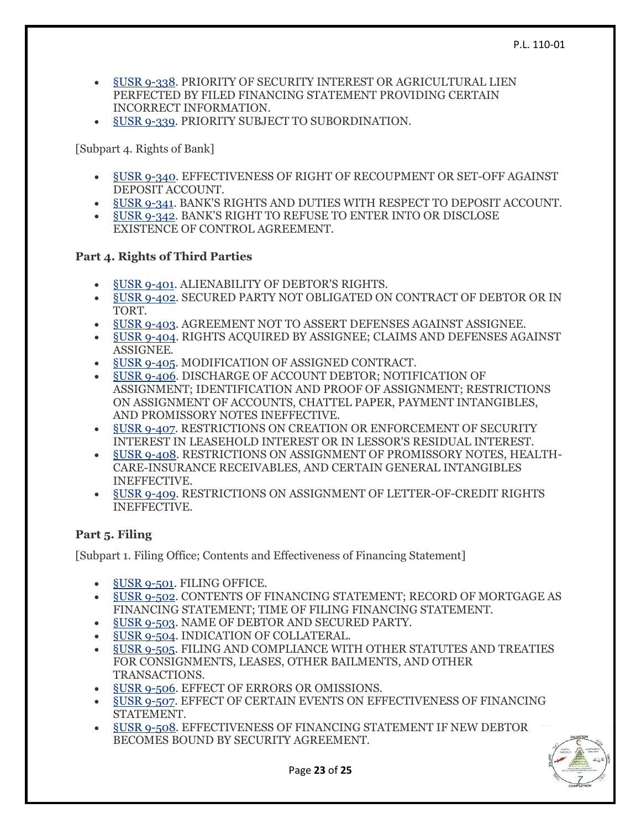- §USR [9-338.](https://www.law.cornell.edu/ucc/9/9-338) PRIORITY OF SECURITY INTEREST OR AGRICULTURAL LIEN PERFECTED BY FILED FINANCING STATEMENT PROVIDING CERTAIN INCORRECT INFORMATION.
- §USR [9-339.](https://www.law.cornell.edu/ucc/9/9-339) PRIORITY SUBJECT TO SUBORDINATION.

[Subpart 4. Rights of Bank]

- §USR [9-340.](https://www.law.cornell.edu/ucc/9/9-340) EFFECTIVENESS OF RIGHT OF RECOUPMENT OR SET-OFF AGAINST DEPOSIT ACCOUNT.
- §USR [9-341.](https://www.law.cornell.edu/ucc/9/9-341) BANK'S RIGHTS AND DUTIES WITH RESPECT TO DEPOSIT ACCOUNT.
- §USR [9-342.](https://www.law.cornell.edu/ucc/9/9-342) BANK'S RIGHT TO REFUSE TO ENTER INTO OR DISCLOSE EXISTENCE OF CONTROL AGREEMENT.

# **Part 4. Rights of Third Parties**

- §USR [9-401.](https://www.law.cornell.edu/ucc/9/9-401) ALIENABILITY OF DEBTOR'S RIGHTS.
- §USR [9-402.](https://www.law.cornell.edu/ucc/9/9-402) SECURED PARTY NOT OBLIGATED ON CONTRACT OF DEBTOR OR IN TORT.
- §USR [9-403.](https://www.law.cornell.edu/ucc/9/9-403) AGREEMENT NOT TO ASSERT DEFENSES AGAINST ASSIGNEE.
- §USR [9-404.](https://www.law.cornell.edu/ucc/9/9-404) RIGHTS ACQUIRED BY ASSIGNEE; CLAIMS AND DEFENSES AGAINST ASSIGNEE.
- §USR [9-405.](https://www.law.cornell.edu/ucc/9/9-405) MODIFICATION OF ASSIGNED CONTRACT.
- §USR [9-406.](https://www.law.cornell.edu/ucc/9/9-406) DISCHARGE OF ACCOUNT DEBTOR; NOTIFICATION OF ASSIGNMENT; IDENTIFICATION AND PROOF OF ASSIGNMENT; RESTRICTIONS ON ASSIGNMENT OF ACCOUNTS, CHATTEL PAPER, PAYMENT INTANGIBLES, AND PROMISSORY NOTES INEFFECTIVE.
- §USR [9-407.](https://www.law.cornell.edu/ucc/9/9-407) RESTRICTIONS ON CREATION OR ENFORCEMENT OF SECURITY INTEREST IN LEASEHOLD INTEREST OR IN LESSOR'S RESIDUAL INTEREST.
- §USR [9-408.](https://www.law.cornell.edu/ucc/9/9-408) RESTRICTIONS ON ASSIGNMENT OF PROMISSORY NOTES, HEALTH-CARE-INSURANCE RECEIVABLES, AND CERTAIN GENERAL INTANGIBLES INEFFECTIVE.
- §USR [9-409.](https://www.law.cornell.edu/ucc/9/9-409) RESTRICTIONS ON ASSIGNMENT OF LETTER-OF-CREDIT RIGHTS INEFFECTIVE.

# **Part 5. Filing**

[Subpart 1. Filing Office; Contents and Effectiveness of Financing Statement]

- §USR [9-501.](https://www.law.cornell.edu/ucc/9/9-501) FILING OFFICE.
- §USR [9-502.](https://www.law.cornell.edu/ucc/9/9-502) CONTENTS OF FINANCING STATEMENT; RECORD OF MORTGAGE AS FINANCING STATEMENT; TIME OF FILING FINANCING STATEMENT.
- §USR [9-503.](https://www.law.cornell.edu/ucc/9/9-503) NAME OF DEBTOR AND SECURED PARTY.
- §USR [9-504.](https://www.law.cornell.edu/ucc/9/9-504) INDICATION OF COLLATERAL.
- §USR [9-505.](https://www.law.cornell.edu/ucc/9/9-505) FILING AND COMPLIANCE WITH OTHER STATUTES AND TREATIES FOR CONSIGNMENTS, LEASES, OTHER BAILMENTS, AND OTHER TRANSACTIONS.
- §USR [9-506.](https://www.law.cornell.edu/ucc/9/9-506) EFFECT OF ERRORS OR OMISSIONS.
- §USR [9-507.](https://www.law.cornell.edu/ucc/9/9-507) EFFECT OF CERTAIN EVENTS ON EFFECTIVENESS OF FINANCING STATEMENT.
- §USR [9-508.](https://www.law.cornell.edu/ucc/9/9-508) EFFECTIVENESS OF FINANCING STATEMENT IF NEW DEBTOR BECOMES BOUND BY SECURITY AGREEMENT.

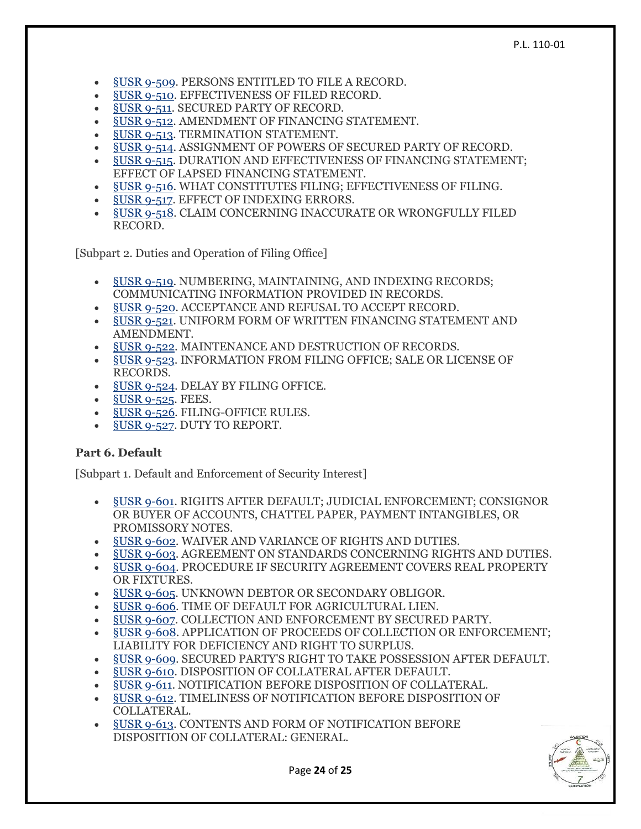- §USR [9-509.](https://www.law.cornell.edu/ucc/9/9-509) PERSONS ENTITLED TO FILE A RECORD.
- §USR [9-510.](https://www.law.cornell.edu/ucc/9/9-510) EFFECTIVENESS OF FILED RECORD.
- [§USR](https://www.law.cornell.edu/ucc/9/9-511) 9-511. SECURED PARTY OF RECORD.
- §USR [9-512.](https://www.law.cornell.edu/ucc/9/9-512) AMENDMENT OF FINANCING STATEMENT.
- §USR [9-513.](https://www.law.cornell.edu/ucc/9/9-513) TERMINATION STATEMENT.
- §USR [9-514.](https://www.law.cornell.edu/ucc/9/9-514) ASSIGNMENT OF POWERS OF SECURED PARTY OF RECORD.
- §USR [9-515.](https://www.law.cornell.edu/ucc/9/9-515) DURATION AND EFFECTIVENESS OF FINANCING STATEMENT; EFFECT OF LAPSED FINANCING STATEMENT.
- §USR [9-516.](https://www.law.cornell.edu/ucc/9/9-516) WHAT CONSTITUTES FILING; EFFECTIVENESS OF FILING.
- §USR [9-517.](https://www.law.cornell.edu/ucc/9/9-517) EFFECT OF INDEXING ERRORS.
- §USR [9-518.](https://www.law.cornell.edu/ucc/9/9-518) CLAIM CONCERNING INACCURATE OR WRONGFULLY FILED RECORD.

[Subpart 2. Duties and Operation of Filing Office]

- §USR [9-519.](https://www.law.cornell.edu/ucc/9/9-519) NUMBERING, MAINTAINING, AND INDEXING RECORDS; COMMUNICATING INFORMATION PROVIDED IN RECORDS.
- §USR [9-520.](https://www.law.cornell.edu/ucc/9/9-520) ACCEPTANCE AND REFUSAL TO ACCEPT RECORD.
- §USR [9-521.](https://www.law.cornell.edu/ucc/9/9-521) UNIFORM FORM OF WRITTEN FINANCING STATEMENT AND AMENDMENT.
- **§USR [9-522.](https://www.law.cornell.edu/ucc/9/9-522) MAINTENANCE AND DESTRUCTION OF RECORDS.**
- §USR [9-523.](https://www.law.cornell.edu/ucc/9/9-523) INFORMATION FROM FILING OFFICE; SALE OR LICENSE OF RECORDS.
- §USR [9-524.](https://www.law.cornell.edu/ucc/9/9-524) DELAY BY FILING OFFICE.
- **§USR [9-525.](https://www.law.cornell.edu/ucc/9/9-525) FEES.**
- §USR [9-526.](https://www.law.cornell.edu/ucc/9/9-526) FILING-OFFICE RULES.
- §USR [9-527.](https://www.law.cornell.edu/ucc/9/9-527) DUTY TO REPORT.

#### **Part 6. Default**

[Subpart 1. Default and Enforcement of Security Interest]

- §USR [9-601.](https://www.law.cornell.edu/ucc/9/9-601) RIGHTS AFTER DEFAULT; JUDICIAL ENFORCEMENT; CONSIGNOR OR BUYER OF ACCOUNTS, CHATTEL PAPER, PAYMENT INTANGIBLES, OR PROMISSORY NOTES.
- §USR [9-602.](https://www.law.cornell.edu/ucc/9/9-602) WAIVER AND VARIANCE OF RIGHTS AND DUTIES.
- §USR [9-603.](https://www.law.cornell.edu/ucc/9/9-603) AGREEMENT ON STANDARDS CONCERNING RIGHTS AND DUTIES.
- §USR [9-604.](https://www.law.cornell.edu/ucc/9/9-604) PROCEDURE IF SECURITY AGREEMENT COVERS REAL PROPERTY OR FIXTURES.
- §USR [9-605.](https://www.law.cornell.edu/ucc/9/9-605) UNKNOWN DEBTOR OR SECONDARY OBLIGOR.
- §USR [9-606.](https://www.law.cornell.edu/ucc/9/9-606) TIME OF DEFAULT FOR AGRICULTURAL LIEN.
- §USR [9-607.](https://www.law.cornell.edu/ucc/9/9-607) COLLECTION AND ENFORCEMENT BY SECURED PARTY.
- §USR [9-608.](https://www.law.cornell.edu/ucc/9/9-608) APPLICATION OF PROCEEDS OF COLLECTION OR ENFORCEMENT; LIABILITY FOR DEFICIENCY AND RIGHT TO SURPLUS.
- §USR [9-609.](https://www.law.cornell.edu/ucc/9/9-609) SECURED PARTY'S RIGHT TO TAKE POSSESSION AFTER DEFAULT.
- §USR [9-610.](https://www.law.cornell.edu/ucc/9/9-610) DISPOSITION OF COLLATERAL AFTER DEFAULT.
- §USR [9-611.](https://www.law.cornell.edu/ucc/9/9-611) NOTIFICATION BEFORE DISPOSITION OF COLLATERAL.
- §USR [9-612.](https://www.law.cornell.edu/ucc/9/9-612) TIMELINESS OF NOTIFICATION BEFORE DISPOSITION OF COLLATERAL.
- §USR [9-613.](https://www.law.cornell.edu/ucc/9/9-613) CONTENTS AND FORM OF NOTIFICATION BEFORE DISPOSITION OF COLLATERAL: GENERAL.